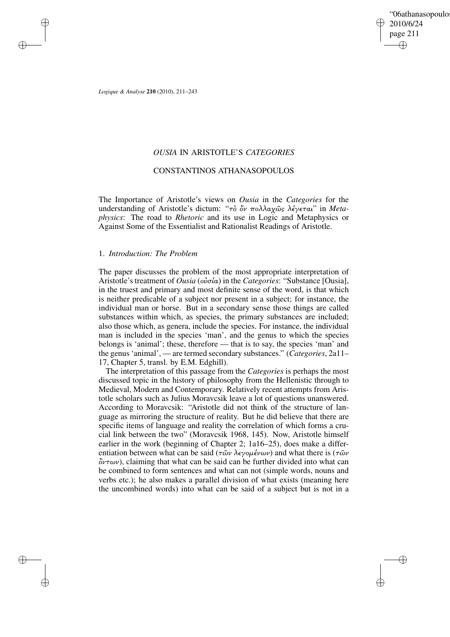'06athanasopoulo 2010/6/24 page 211 ✐ ✐

✐

✐

*Logique & Analyse* **210** (2010), 211–243

✐

✐

✐

✐

# *OUSIA* IN ARISTOTLE'S *CATEGORIES*

# CONSTANTINOS ATHANASOPOULOS

The Importance of Aristotle's views on *Ousia* in the *Categories* for the understanding of Aristotle's dictum: "τὸ ὄν πολλαχῶς λέγεται" in Meta*physics*: The road to *Rhetoric* and its use in Logic and Metaphysics or Against Some of the Essentialist and Rationalist Readings of Aristotle.

# 1. *Introduction: The Problem*

The paper discusses the problem of the most appropriate interpretation of Aristotle's treatment of *Ousia* (οÙσία) in the *Categories*: "Substance [Ousia], in the truest and primary and most definite sense of the word, is that which is neither predicable of a subject nor present in a subject; for instance, the individual man or horse. But in a secondary sense those things are called substances within which, as species, the primary substances are included; also those which, as genera, include the species. For instance, the individual man is included in the species 'man', and the genus to which the species belongs is 'animal'; these, therefore — that is to say, the species 'man' and the genus'animal', — are termed secondary substances." (*Categories*, 2a11– 17, Chapter 5, transl. by E.M. Edghill).

The interpretation of this passage from the *Categories* is perhaps the most discussed topic in the history of philosophy from the Hellenistic through to Medieval, Modern and Contemporary. Relatively recent attempts from Aristotle scholars such as Julius Moravcsik leave a lot of questions unanswered. According to Moravcsik: "Aristotle did not think of the structure of language as mirroring the structure of reality. But he did believe that there are specific items of language and reality the correlation of which forms a crucial link between the two" (Moravcsik 1968, 145). Now, Aristotle himself earlier in the work (beginning of Chapter 2; 1a16–25), does make a differentiation between what can be said ( $\tau \hat{\omega} \nu$  λεγομένων) and what there is ( $\tau \hat{\omega} \nu$  $\partial v \tau \omega v$ ), claiming that what can be said can be further divided into what can be combined to form sentences and what can not (simple words, nouns and verbs etc.); he also makes a parallel division of what exists (meaning here the uncombined words) into what can be said of a subject but is not in a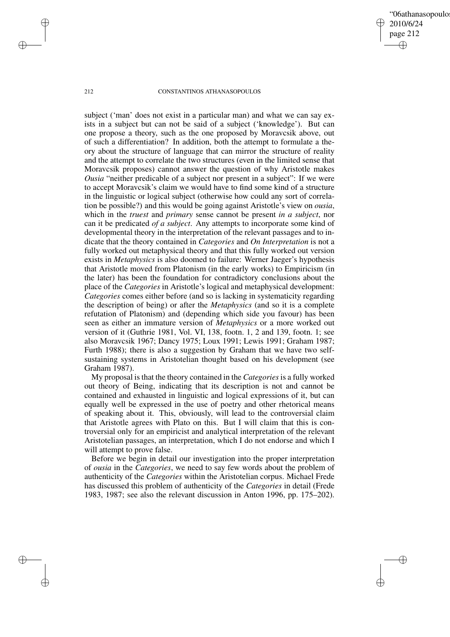'06athanasopoulo 2010/6/24 page 212 ✐ ✐

✐

✐

## 212 CONSTANTINOS ATHANASOPOULOS

subject ('man' does not exist in a particular man) and what we can say exists in a subject but can not be said of a subject ('knowledge'). But can one propose a theory, such as the one proposed by Moravcsik above, out of such a differentiation? In addition, both the attempt to formulate a theory about the structure of language that can mirror the structure of reality and the attempt to correlate the two structures (even in the limited sense that Moravcsik proposes) cannot answer the question of why Aristotle makes *Ousia* "neither predicable of a subject nor present in a subject": If we were to accept Moravcsik's claim we would have to find some kind of a structure in the linguistic or logical subject (otherwise how could any sort of correlation be possible?) and this would be going against Aristotle's view on *ousia*, which in the *truest* and *primary* sense cannot be present *in a subject*, nor can it be predicated *of a subject*. Any attempts to incorporate some kind of developmental theory in the interpretation of the relevant passages and to indicate that the theory contained in *Categories* and *On Interpretation* is not a fully worked out metaphysical theory and that this fully worked out version exists in *Metaphysics* is also doomed to failure: Werner Jaeger's hypothesis that Aristotle moved from Platonism (in the early works) to Empiricism (in the later) has been the foundation for contradictory conclusions about the place of the *Categories* in Aristotle's logical and metaphysical development: *Categories* comes either before (and so is lacking in systematicity regarding the description of being) or after the *Metaphysics* (and so it is a complete refutation of Platonism) and (depending which side you favour) has been seen as either an immature version of *Metaphysics* or a more worked out version of it (Guthrie 1981, Vol. VI, 138, footn. 1, 2 and 139, footn. 1; see also Moravcsik 1967; Dancy 1975; Loux 1991; Lewis 1991; Graham 1987; Furth 1988); there is also a suggestion by Graham that we have two selfsustaining systems in Aristotelian thought based on his development (see Graham 1987).

My proposal isthat the theory contained in the *Categories*is a fully worked out theory of Being, indicating that its description is not and cannot be contained and exhausted in linguistic and logical expressions of it, but can equally well be expressed in the use of poetry and other rhetorical means of speaking about it. This, obviously, will lead to the controversial claim that Aristotle agrees with Plato on this. But I will claim that this is controversial only for an empiricist and analytical interpretation of the relevant Aristotelian passages, an interpretation, which I do not endorse and which I will attempt to prove false.

Before we begin in detail our investigation into the proper interpretation of *ousia* in the *Categories*, we need to say few words about the problem of authenticity of the *Categories* within the Aristotelian corpus. Michael Frede has discussed this problem of authenticity of the *Categories* in detail (Frede 1983, 1987; see also the relevant discussion in Anton 1996, pp. 175–202).

✐

✐

✐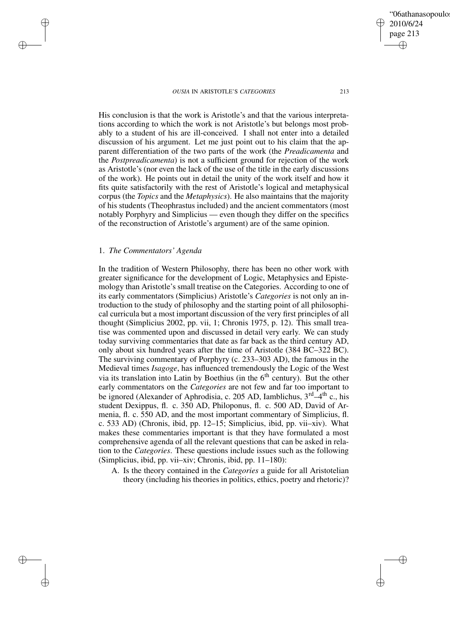2010/6/24 page 213 ✐ ✐

✐

✐

'06athanasopoulo

His conclusion is that the work is Aristotle's and that the various interpretations according to which the work is not Aristotle's but belongs most probably to a student of his are ill-conceived. I shall not enter into a detailed discussion of his argument. Let me just point out to his claim that the apparent differentiation of the two parts of the work (the *Preadicamenta* and the *Postpreadicamenta*) is not a sufficient ground for rejection of the work as Aristotle's (nor even the lack of the use of the title in the early discussions of the work). He points out in detail the unity of the work itself and how it fits quite satisfactorily with the rest of Aristotle's logical and metaphysical corpus (the *Topics* and the *Metaphysics*). He also maintains that the majority of his students (Theophrastus included) and the ancient commentators (most notably Porphyry and Simplicius — even though they differ on the specifics of the reconstruction of Aristotle's argument) are of the same opinion.

# 1. *The Commentators' Agenda*

✐

✐

✐

✐

In the tradition of Western Philosophy, there has been no other work with greater significance for the development of Logic, Metaphysics and Epistemology than Aristotle's small treatise on the Categories. According to one of its early commentators (Simplicius) Aristotle's *Categories* is not only an introduction to the study of philosophy and the starting point of all philosophical curricula but a most important discussion of the very first principles of all thought (Simplicius 2002, pp. vii, 1; Chronis 1975, p. 12). This small treatise was commented upon and discussed in detail very early. We can study today surviving commentaries that date as far back as the third century AD, only about six hundred years after the time of Aristotle (384 BC–322 BC). The surviving commentary of Porphyry (c. 233–303 AD), the famous in the Medieval times *Isagoge*, has influenced tremendously the Logic of the West via its translation into Latin by Boethius (in the 6<sup>th</sup> century). But the other early commentators on the *Categories* are not few and far too important to be ignored (Alexander of Aphrodisia, c. 205 AD, Iamblichus,  $3<sup>rd</sup>-4<sup>th</sup>$  c., his student Dexippus, fl. c. 350 AD, Philoponus, fl. c. 500 AD, David of Armenia, fl. c. 550 AD, and the most important commentary of Simplicius, fl. c. 533 AD) (Chronis, ibid, pp. 12–15; Simplicius, ibid, pp. vii–xiv). What makes these commentaries important is that they have formulated a most comprehensive agenda of all the relevant questions that can be asked in relation to the *Categories*. These questions include issues such as the following (Simplicius, ibid, pp. vii–xiv; Chronis, ibid, pp. 11–180):

A. Is the theory contained in the *Categories* a guide for all Aristotelian theory (including his theories in politics, ethics, poetry and rhetoric)?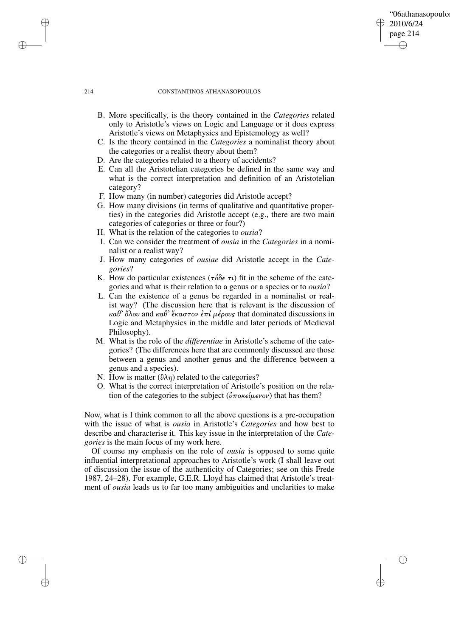# '06athanasopoulo 2010/6/24 page 214 ✐ ✐

✐

✐

#### 214 CONSTANTINOS ATHANASOPOULOS

- B. More specifically, is the theory contained in the *Categories* related only to Aristotle's views on Logic and Language or it does express Aristotle's views on Metaphysics and Epistemology as well?
- C. Is the theory contained in the *Categories* a nominalist theory about the categories or a realist theory about them?
- D. Are the categories related to a theory of accidents?
- E. Can all the Aristotelian categories be defined in the same way and what is the correct interpretation and definition of an Aristotelian category?
- F. How many (in number) categories did Aristotle accept?
- G. How many divisions (in terms of qualitative and quantitative properties) in the categories did Aristotle accept (e.g., there are two main categories of categories or three or four?)
- H. What is the relation of the categories to *ousia*?
- I. Can we consider the treatment of *ousia* in the *Categories* in a nominalist or a realist way?
- J. How many categories of *ousiae* did Aristotle accept in the *Categories*?
- K. How do particular existences ( $\tau \delta \delta \epsilon \tau \iota$ ) fit in the scheme of the categories and what is their relation to a genus or a species or to *ousia*?
- L. Can the existence of a genus be regarded in a nominalist or realist way? (The discussion here that is relevant is the discussion of  $\kappa \alpha \theta$ ' όλου and  $\kappa \alpha \theta$ ' έκαστον έπί μέρους that dominated discussions in Logic and Metaphysics in the middle and later periods of Medieval Philosophy).
- M. What is the role of the *differentiae* in Aristotle's scheme of the categories? (The differences here that are commonly discussed are those between a genus and another genus and the difference between a genus and a species).
- N. How is matter ( $\partial \lambda \eta$ ) related to the categories?
- O. What is the correct interpretation of Aristotle's position on the relation of the categories to the subject ( $\hat{v}$ ποκείμενον) that has them?

Now, what is I think common to all the above questions is a pre-occupation with the issue of what is *ousia* in Aristotle's *Categories* and how best to describe and characterise it. This key issue in the interpretation of the *Categories* is the main focus of my work here.

Of course my emphasis on the role of *ousia* is opposed to some quite influential interpretational approaches to Aristotle's work (I shall leave out of discussion the issue of the authenticity of Categories; see on this Frede 1987, 24–28). For example, G.E.R. Lloyd has claimed that Aristotle's treatment of *ousia* leads us to far too many ambiguities and unclarities to make

✐

✐

✐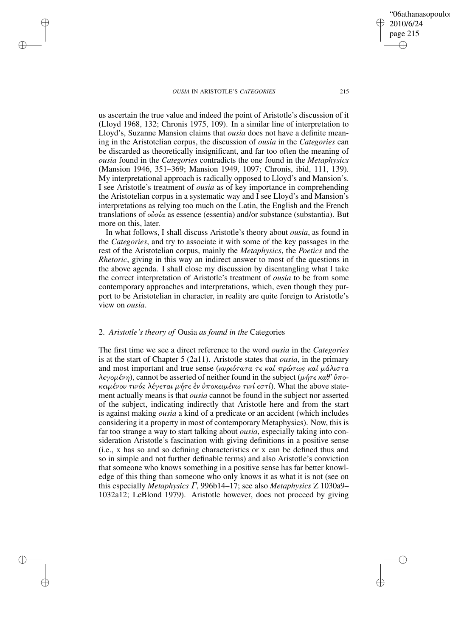✐

✐

✐

✐

2010/6/24 page 215 ✐ ✐

✐

✐

'06athanasopoulo

us ascertain the true value and indeed the point of Aristotle's discussion of it (Lloyd 1968, 132; Chronis 1975, 109). In a similar line of interpretation to Lloyd's, Suzanne Mansion claims that *ousia* does not have a definite meaning in the Aristotelian corpus, the discussion of *ousia* in the *Categories* can be discarded as theoretically insignificant, and far too often the meaning of *ousia* found in the *Categories* contradicts the one found in the *Metaphysics* (Mansion 1946, 351–369; Mansion 1949, 1097; Chronis, ibid, 111, 139). My interpretational approach is radically opposed to Lloyd's and Mansion's. I see Aristotle's treatment of *ousia* as of key importance in comprehending the Aristotelian corpus in a systematic way and I see Lloyd's and Mansion's interpretations as relying too much on the Latin, the English and the French translations of  $\omega \sigma \alpha$  as essence (essentia) and/or substance (substantia). But more on this, later.

In what follows, I shall discuss Aristotle's theory about *ousia*, as found in the *Categories*, and try to associate it with some of the key passages in the rest of the Aristotelian corpus, mainly the *Metaphysics*, the *Poetics* and the *Rhetoric*, giving in this way an indirect answer to most of the questions in the above agenda. I shall close my discussion by disentangling what I take the correct interpretation of Aristotle's treatment of *ousia* to be from some contemporary approaches and interpretations, which, even though they purport to be Aristotelian in character, in reality are quite foreign to Aristotle's view on *ousia*.

# 2. *Aristotle's theory of* Ousia *as found in the* Categories

The first time we see a direct reference to the word *ousia* in the *Categories* is at the start of Chapter 5 (2a11). Aristotle states that *ousia*, in the primary and most important and true sense (κυριότατα τε καί πρώτως καί μάλιστα λεγομένη), cannot be asserted of neither found in the subject (μήτε καθ' ύποκειμένου τινός λέγεται μήτε έν ύποκειμένω τινί εστί). What the above statement actually means is that *ousia* cannot be found in the subject nor asserted of the subject, indicating indirectly that Aristotle here and from the start is against making *ousia* a kind of a predicate or an accident (which includes considering it a property in most of contemporary Metaphysics). Now, this is far too strange a way to start talking about *ousia*, especially taking into consideration Aristotle's fascination with giving definitions in a positive sense (i.e., x has so and so defining characteristics or x can be defined thus and so in simple and not further definable terms) and also Aristotle's conviction that someone who knows something in a positive sense has far better knowledge of this thing than someone who only knows it as what it is not (see on this especially *Metaphysics* Γ, 996b14–17; see also *Metaphysics* Z 1030a9– 1032a12; LeBlond 1979). Aristotle however, does not proceed by giving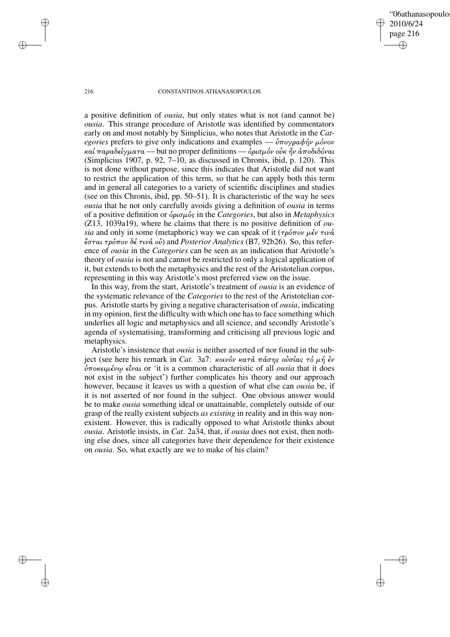'06athanasopoulo 2010/6/24 page 216 ✐ ✐

✐

✐

## 216 CONSTANTINOS ATHANASOPOULOS

a positive definition of *ousia*, but only states what is not (and cannot be) *ousia*. This strange procedure of Aristotle was identified by commentators early on and most notably by Simplicius, who notes that Aristotle in the *Categories* prefers to give only indications and examples —  $\dot{v} \pi$  *o*  $\gamma \rho \alpha \phi \eta \nu$   $\mu$  *o*  $\nu$ καί παραδείγματα — but no proper definitions — δρισμόν οὐκ ἦν ἀποδιδόναι (Simplicius 1907, p. 92, 7–10, as discussed in Chronis, ibid, p. 120). This is not done without purpose, since this indicates that Aristotle did not want to restrict the application of this term, so that he can apply both this term and in general all categories to a variety of scientific disciplines and studies (see on this Chronis, ibid, pp. 50–51). It is characteristic of the way he sees *ousia* that he not only carefully avoids giving a definition of *ousia* in terms of a positive definition or Ðρισµός in the *Categories*, but also in *Metaphysics* (Z13, 1039a19), where he claims that there is no positive definition of *ousia* and only in some (metaphoric) way we can speak of it ( $\tau \rho \acute{o} \pi \sigma \nu \mu \acute{\epsilon} \nu \tau \nu \acute{\alpha}$ σται τρόπον δέ τινά οÙ) and *Posterior Analytics* (B7, 92b26). So, this reference of *ousia* in the *Categories* can be seen as an indication that Aristotle's theory of *ousia* is not and cannot be restricted to only a logical application of it, but extends to both the metaphysics and the rest of the Aristotelian corpus, representing in this way Aristotle's most preferred view on the issue.

In this way, from the start, Aristotle's treatment of *ousia* is an evidence of the systematic relevance of the *Categories* to the rest of the Aristotelian corpus. Aristotle starts by giving a negative characterisation of *ousia*, indicating in my opinion, first the difficulty with which one hasto face something which underlies all logic and metaphysics and all science, and secondly Aristotle's agenda of systematising, transforming and criticising all previous logic and metaphysics.

Aristotle's insistence that *ousia* is neither asserted of nor found in the subject (see here his remark in *Cat. 3a7: κοινόν κατά πάσης οὐσίας τό μή έν* **ύποκειμένω είναι or 'it is a common characteristic of all** *ousia* **that it does** not exist in the subject') further complicates his theory and our approach however, because it leaves us with a question of what else can *ousia* be, if it is not asserted of nor found in the subject. One obvious answer would be to make *ousia* something ideal or unattainable, completely outside of our grasp of the really existent subjects *as existing* in reality and in this way nonexistent. However, this is radically opposed to what Aristotle thinks about *ousia*. Aristotle insists, in *Cat*. 2a34, that, if *ousia* does not exist, then nothing else does, since all categories have their dependence for their existence on *ousia*. So, what exactly are we to make of his claim?

✐

✐

✐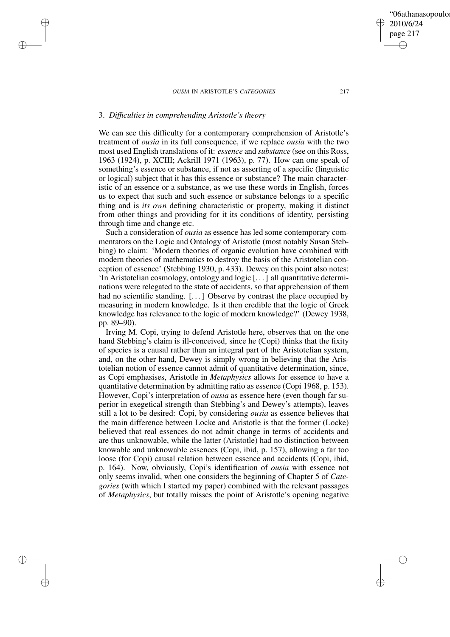# 3. *Difficulties in comprehending Aristotle's theory*

✐

✐

✐

✐

We can see this difficulty for a contemporary comprehension of Aristotle's treatment of *ousia* in its full consequence, if we replace *ousia* with the two most used English translations of it: *essence* and *substance* (see on this Ross, 1963 (1924), p. XCIII; Ackrill 1971 (1963), p. 77). How can one speak of something's essence or substance, if not as asserting of a specific (linguistic or logical) subject that it has this essence or substance? The main characteristic of an essence or a substance, as we use these words in English, forces us to expect that such and such essence or substance belongs to a specific thing and is *its own* defining characteristic or property, making it distinct from other things and providing for it its conditions of identity, persisting through time and change etc.

Such a consideration of *ousia* as essence has led some contemporary commentators on the Logic and Ontology of Aristotle (most notably Susan Stebbing) to claim: 'Modern theories of organic evolution have combined with modern theories of mathematics to destroy the basis of the Aristotelian conception of essence' (Stebbing 1930, p. 433). Dewey on this point also notes: 'In Aristotelian cosmology, ontology and logic [. . .] all quantitative determinations were relegated to the state of accidents, so that apprehension of them had no scientific standing. [...] Observe by contrast the place occupied by measuring in modern knowledge. Is it then credible that the logic of Greek knowledge has relevance to the logic of modern knowledge?' (Dewey 1938, pp. 89–90).

Irving M. Copi, trying to defend Aristotle here, observes that on the one hand Stebbing's claim is ill-conceived, since he (Copi) thinks that the fixity of species is a causal rather than an integral part of the Aristotelian system, and, on the other hand, Dewey is simply wrong in believing that the Aristotelian notion of essence cannot admit of quantitative determination, since, as Copi emphasises, Aristotle in *Metaphysics* allows for essence to have a quantitative determination by admitting ratio as essence (Copi 1968, p. 153). However, Copi's interpretation of *ousia* as essence here (even though far superior in exegetical strength than Stebbing's and Dewey's attempts), leaves still a lot to be desired: Copi, by considering *ousia* as essence believes that the main difference between Locke and Aristotle is that the former (Locke) believed that real essences do not admit change in terms of accidents and are thus unknowable, while the latter (Aristotle) had no distinction between knowable and unknowable essences (Copi, ibid, p. 157), allowing a far too loose (for Copi) causal relation between essence and accidents (Copi, ibid, p. 164). Now, obviously, Copi's identification of *ousia* with essence not only seems invalid, when one considers the beginning of Chapter 5 of *Categories* (with which I started my paper) combined with the relevant passages of *Metaphysics*, but totally misses the point of Aristotle's opening negative

✐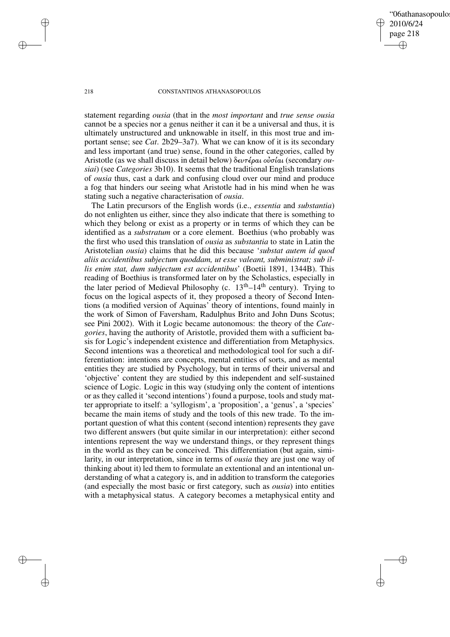'06athanasopoulo 2010/6/24 page 218 ✐ ✐

✐

✐

#### 218 CONSTANTINOS ATHANASOPOULOS

statement regarding *ousia* (that in the *most important* and *true sense ousia* cannot be a species nor a genus neither it can it be a universal and thus, it is ultimately unstructured and unknowable in itself, in this most true and important sense; see *Cat*. 2b29–3a7). What we can know of it is its secondary and less important (and true) sense, found in the other categories, called by Aristotle (as we shall discuss in detail below) δευτέραι οÙσίαι (secondary *ousiai*) (see *Categories* 3b10). It seems that the traditional English translations of *ousia* thus, cast a dark and confusing cloud over our mind and produce a fog that hinders our seeing what Aristotle had in his mind when he was stating such a negative characterisation of *ousia*.

The Latin precursors of the English words (i.e., *essentia* and *substantia*) do not enlighten us either, since they also indicate that there is something to which they belong or exist as a property or in terms of which they can be identified as a *substratum* or a core element. Boethius (who probably was the first who used this translation of *ousia* as *substantia* to state in Latin the Aristotelian *ousia*) claims that he did this because '*substat autem id quod aliis accidentibus subjectum quoddam, ut esse valeant, subministrat; sub illis enim stat, dum subjectum est accidentibus*' (Boetii 1891, 1344B). This reading of Boethius is transformed later on by the Scholastics, especially in the later period of Medieval Philosophy (c.  $13<sup>th</sup>-14<sup>th</sup>$  century). Trying to focus on the logical aspects of it, they proposed a theory of Second Intentions (a modified version of Aquinas' theory of intentions, found mainly in the work of Simon of Faversham, Radulphus Brito and John Duns Scotus; see Pini 2002). With it Logic became autonomous: the theory of the *Categories*, having the authority of Aristotle, provided them with a sufficient basis for Logic's independent existence and differentiation from Metaphysics. Second intentions was a theoretical and methodological tool for such a differentiation: intentions are concepts, mental entities of sorts, and as mental entities they are studied by Psychology, but in terms of their universal and 'objective' content they are studied by this independent and self-sustained science of Logic. Logic in this way (studying only the content of intentions or as they called it 'second intentions') found a purpose, tools and study matter appropriate to itself: a 'syllogism', a 'proposition', a 'genus', a 'species' became the main items of study and the tools of this new trade. To the important question of what this content (second intention) represents they gave two different answers (but quite similar in our interpretation): either second intentions represent the way we understand things, or they represent things in the world as they can be conceived. This differentiation (but again, similarity, in our interpretation, since in terms of *ousia* they are just one way of thinking about it) led them to formulate an extentional and an intentional understanding of what a category is, and in addition to transform the categories (and especially the most basic or first category, such as *ousia*) into entities with a metaphysical status. A category becomes a metaphysical entity and

✐

✐

✐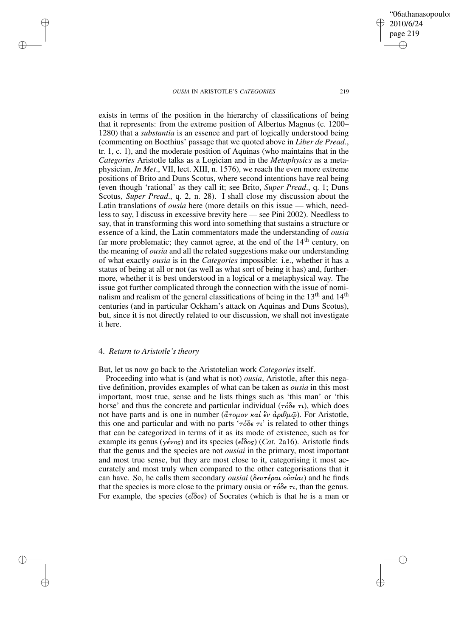✐

✐

'06athanasopoulo

exists in terms of the position in the hierarchy of classifications of being that it represents: from the extreme position of Albertus Magnus (c. 1200– 1280) that a *substantia* is an essence and part of logically understood being (commenting on Boethius' passage that we quoted above in *Liber de Pread*., tr. 1, c. 1), and the moderate position of Aquinas (who maintains that in the *Categories* Aristotle talks as a Logician and in the *Metaphysics* as a metaphysician, *In Met*., VII, lect. XIII, n. 1576), we reach the even more extreme positions of Brito and Duns Scotus, where second intentions have real being (even though 'rational' as they call it; see Brito, *Super Pread*., q. 1; Duns Scotus, *Super Pread*., q. 2, n. 28). I shall close my discussion about the Latin translations of *ousia* here (more details on this issue — which, needless to say, I discuss in excessive brevity here — see Pini 2002). Needless to say, that in transforming this word into something that sustains a structure or essence of a kind, the Latin commentators made the understanding of *ousia* far more problematic; they cannot agree, at the end of the  $14<sup>th</sup>$  century, on the meaning of *ousia* and all the related suggestions make our understanding of what exactly *ousia* is in the *Categories* impossible: i.e., whether it has a status of being at all or not (as well as what sort of being it has) and, furthermore, whether it is best understood in a logical or a metaphysical way. The issue got further complicated through the connection with the issue of nominalism and realism of the general classifications of being in the  $13<sup>th</sup>$  and  $14<sup>th</sup>$ centuries (and in particular Ockham's attack on Aquinas and Duns Scotus), but, since it is not directly related to our discussion, we shall not investigate it here.

# 4. *Return to Aristotle's theory*

✐

✐

✐

✐

But, let us now go back to the Aristotelian work *Categories* itself.

Proceeding into what is (and what is not) *ousia*, Aristotle, after this negative definition, provides examples of what can be taken as *ousia* in this most important, most true, sense and he lists things such as 'this man' or 'this horse' and thus the concrete and particular individual ( $\tau \delta \delta \epsilon \tau \iota$ ), which does not have parts and is one in number (άτομον καί ἓν ἀριθμῷ). For Aristotle, this one and particular and with no parts ' $\tau \delta \delta \epsilon \tau i$ ' is related to other things that can be categorized in terms of it as its mode of existence, such as for example its genus (γένος) and its species (εδος) (*Cat*. 2a16). Aristotle finds that the genus and the species are not *ousiai* in the primary, most important and most true sense, but they are most close to it, categorising it most accurately and most truly when compared to the other categorisations that it can have. So, he calls them secondary *ousiai* (δευτέραι οÙσίαι) and he finds that the species is more close to the primary ousia or  $\tau \delta \delta \epsilon \tau t$ , than the genus. For example, the species ( $\epsilon \hat{i} \delta \circ s$ ) of Socrates (which is that he is a man or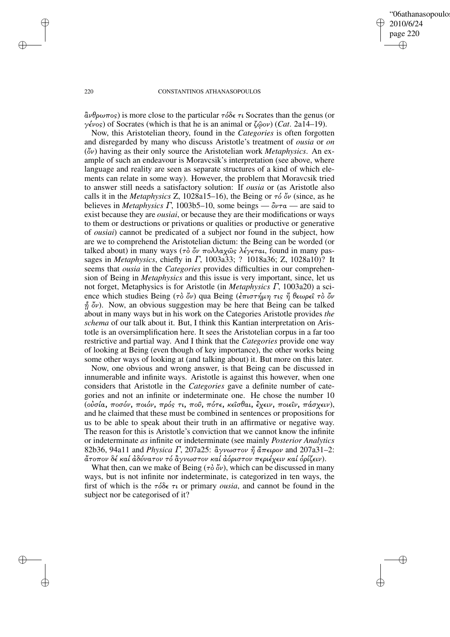'06athanasopoulo 2010/6/24 page 220 ✐ ✐

✐

✐

#### 220 CONSTANTINOS ATHANASOPOULOS

 $\hat{\alpha}\nu\theta\rho\omega\pi$  is more close to the particular  $\tau\delta\delta\epsilon\tau\iota$  Socrates than the genus (or γένος) of Socrates (which is that he is an animal or ζùον) (*Cat*. 2a14–19).

Now, this Aristotelian theory, found in the *Categories* is often forgotten and disregarded by many who discuss Aristotle's treatment of *ousia* or *on* (Ôν) having as their only source the Aristotelian work *Metaphysics*. An example of such an endeavour is Moravcsik's interpretation (see above, where language and reality are seen as separate structures of a kind of which elements can relate in some way). However, the problem that Moravcsik tried to answer still needs a satisfactory solution: If *ousia* or (as Aristotle also calls it in the *Metaphysics* Z, 1028a15–16), the Being or  $\tau_0'$  ov (since, as he believes in *Metaphysics*  $\Gamma$ , 1003b5–10, some beings —  $\delta \nu \tau \alpha$  — are said to exist because they are *ousiai*, or because they are their modifications or ways to them or destructions or privations or qualities or productive or generative of *ousiai*) cannot be predicated of a subject nor found in the subject, how are we to comprehend the Aristotelian dictum: the Being can be worded (or talked about) in many ways (τὸ ὄν πολλαχῶς λέγεται, found in many passages in *Metaphysics*, chiefly in Γ, 1003a33; ? 1018a36; Z, 1028a10)? It seems that *ousia* in the *Categories* provides difficulties in our comprehension of Being in *Metaphysics* and this issue is very important, since, let us not forget, Metaphysics is for Aristotle (in *Metaphysics* Γ, 1003a20) a science which studies Being (τὸ ὄν) qua Being (ἐπιστήμη τις ἥ θεωρεῖ τὸ ὄν  $\hat{\eta}$   $\partial \nu$ ). Now, an obvious suggestion may be here that Being can be talked about in many ways but in his work on the Categories Aristotle provides *the schema* of our talk about it. But, I think this Kantian interpretation on Aristotle is an oversimplification here. It sees the Aristotelian corpus in a far too restrictive and partial way. And I think that the *Categories* provide one way of looking at Being (even though of key importance), the other works being some other ways of looking at (and talking about) it. But more on this later.

Now, one obvious and wrong answer, is that Being can be discussed in innumerable and infinite ways. Aristotle is against this however, when one considers that Aristotle in the *Categories* gave a definite number of categories and not an infinite or indeterminate one. He chose the number 10 (ούσία, ποσόν, ποιόν, πρός τι, ποῦ, πότε, κεῖσθαι, έχειν, ποιεῖν, πάσχειν), and he claimed that these must be combined in sentences or propositions for us to be able to speak about their truth in an affirmative or negative way. The reason for this is Aristotle's conviction that we cannot know the infinite or indeterminate *as* infinite or indeterminate (see mainly *Posterior Analytics* 82b36, 94a11 and *Physica Γ*, 207a25:  $\frac{\partial \gamma}{\partial \nu}$ ωστον ή άπειρον and 207a31-2: άτοπον δέ καί ἀδύνατον τό ἂγνωστον καί ἀόριστον περιέχειν καί ὁρίζειν).

What then, can we make of Being ( $\tau \delta \ddot{\delta}$ ν), which can be discussed in many ways, but is not infinite nor indeterminate, is categorized in ten ways, the first of which is the  $\tau \delta \delta \epsilon \tau \nu$  or primary *ousia*, and cannot be found in the subject nor be categorised of it?

✐

✐

✐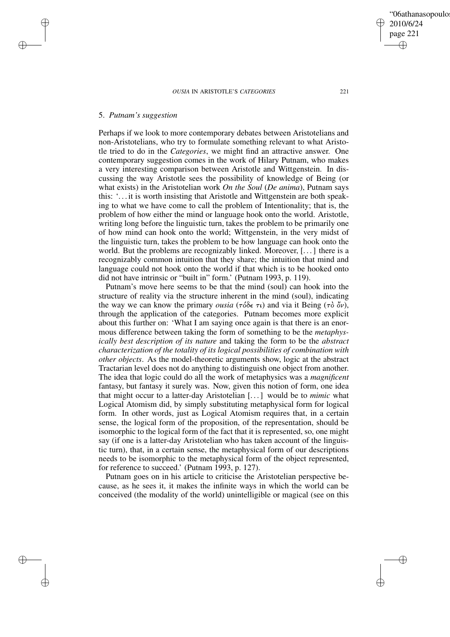# 5. *Putnam's suggestion*

✐

✐

✐

✐

Perhaps if we look to more contemporary debates between Aristotelians and non-Aristotelians, who try to formulate something relevant to what Aristotle tried to do in the *Categories*, we might find an attractive answer. One contemporary suggestion comes in the work of Hilary Putnam, who makes a very interesting comparison between Aristotle and Wittgenstein. In discussing the way Aristotle sees the possibility of knowledge of Being (or what exists) in the Aristotelian work *On the Soul* (*De anima*), Putnam says this: '. . . it is worth insisting that Aristotle and Wittgenstein are both speaking to what we have come to call the problem of Intentionality; that is, the problem of how either the mind or language hook onto the world. Aristotle, writing long before the linguistic turn, takes the problem to be primarily one of how mind can hook onto the world; Wittgenstein, in the very midst of the linguistic turn, takes the problem to be how language can hook onto the world. But the problems are recognizably linked. Moreover, [. . .] there is a recognizably common intuition that they share; the intuition that mind and language could not hook onto the world if that which is to be hooked onto did not have intrinsic or "built in" form.' (Putnam 1993, p. 119).

Putnam's move here seems to be that the mind (soul) can hook into the structure of reality via the structure inherent in the mind (soul), indicating the way we can know the primary *ousia* ( $\tau \delta \delta \epsilon \tau \iota$ ) and via it Being ( $\tau \delta \phi$ ), through the application of the categories. Putnam becomes more explicit about this further on: 'What I am saying once again is that there is an enormous difference between taking the form of something to be the *metaphysically best description of its nature* and taking the form to be the *abstract characterization of the totality of its logical possibilities of combination with other objects*. As the model-theoretic arguments show, logic at the abstract Tractarian level does not do anything to distinguish one object from another. The idea that logic could do all the work of metaphysics was a *magnificent* fantasy, but fantasy it surely was. Now, given this notion of form, one idea that might occur to a latter-day Aristotelian [. . .] would be to *mimic* what Logical Atomism did, by simply substituting metaphysical form for logical form. In other words, just as Logical Atomism requires that, in a certain sense, the logical form of the proposition, of the representation, should be isomorphic to the logical form of the fact that it is represented, so, one might say (if one is a latter-day Aristotelian who has taken account of the linguistic turn), that, in a certain sense, the metaphysical form of our descriptions needs to be isomorphic to the metaphysical form of the object represented, for reference to succeed.' (Putnam 1993, p. 127).

Putnam goes on in his article to criticise the Aristotelian perspective because, as he sees it, it makes the infinite ways in which the world can be conceived (the modality of the world) unintelligible or magical (see on this

'06athanasopoulo 2010/6/24 page 221 ✐ ✐

✐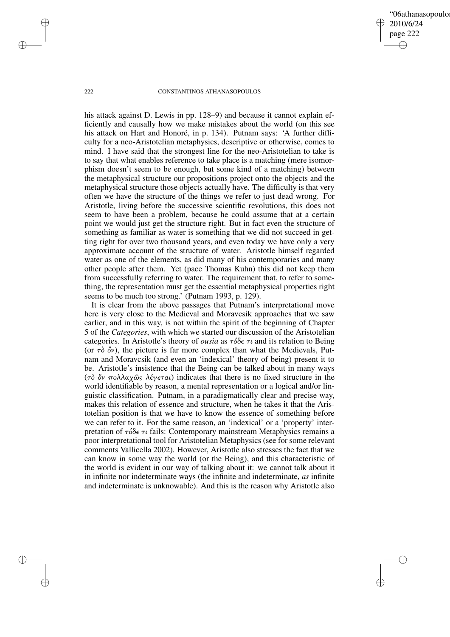'06athanasopoulo 2010/6/24 page 222 ✐ ✐

✐

✐

#### 222 CONSTANTINOS ATHANASOPOULOS

his attack against D. Lewis in pp. 128–9) and because it cannot explain efficiently and causally how we make mistakes about the world (on this see his attack on Hart and Honoré, in p. 134). Putnam says: 'A further difficulty for a neo-Aristotelian metaphysics, descriptive or otherwise, comes to mind. I have said that the strongest line for the neo-Aristotelian to take is to say that what enables reference to take place is a matching (mere isomorphism doesn't seem to be enough, but some kind of a matching) between the metaphysical structure our propositions project onto the objects and the metaphysical structure those objects actually have. The difficulty is that very often we have the structure of the things we refer to just dead wrong. For Aristotle, living before the successive scientific revolutions, this does not seem to have been a problem, because he could assume that at a certain point we would just get the structure right. But in fact even the structure of something as familiar as water is something that we did not succeed in getting right for over two thousand years, and even today we have only a very approximate account of the structure of water. Aristotle himself regarded water as one of the elements, as did many of his contemporaries and many other people after them. Yet (pace Thomas Kuhn) this did not keep them from successfully referring to water. The requirement that, to refer to something, the representation must get the essential metaphysical properties right seems to be much too strong.' (Putnam 1993, p. 129).

It is clear from the above passages that Putnam's interpretational move here is very close to the Medieval and Moravcsik approaches that we saw earlier, and in this way, is not within the spirit of the beginning of Chapter 5 of the *Categories*, with which we started our discussion of the Aristotelian categories. In Aristotle's theory of *ousia* as τόδε τι and its relation to Being (or  $\tau\delta \phi v$ ), the picture is far more complex than what the Medievals, Putnam and Moravcsik (and even an 'indexical' theory of being) present it to be. Aristotle's insistence that the Being can be talked about in many ways (τδ όν πολλαχώς λέγεται) indicates that there is no fixed structure in the world identifiable by reason, a mental representation or a logical and/or linguistic classification. Putnam, in a paradigmatically clear and precise way, makes this relation of essence and structure, when he takes it that the Aristotelian position is that we have to know the essence of something before we can refer to it. For the same reason, an 'indexical' or a 'property' interpretation of  $τ\delta\deltaε τι$  fails: Contemporary mainstream Metaphysics remains a poor interpretational tool for Aristotelian Metaphysics (see for some relevant comments Vallicella 2002). However, Aristotle also stresses the fact that we can know in some way the world (or the Being), and this characteristic of the world is evident in our way of talking about it: we cannot talk about it in infinite nor indeterminate ways (the infinite and indeterminate, *as* infinite and indeterminate is unknowable). And this is the reason why Aristotle also

✐

✐

✐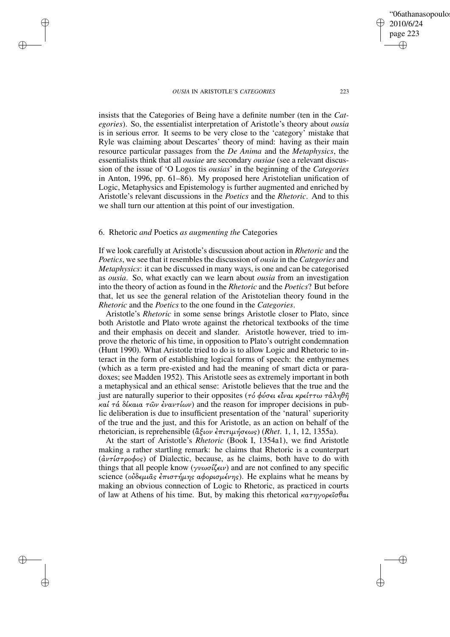2010/6/24 page 223 ✐ ✐

✐

✐

'06athanasopoulo

insists that the Categories of Being have a definite number (ten in the *Categories*). So, the essentialist interpretation of Aristotle's theory about *ousia* is in serious error. It seems to be very close to the 'category' mistake that Ryle was claiming about Descartes' theory of mind: having as their main resource particular passages from the *De Anima* and the *Metaphysics*, the essentialists think that all *ousiae* are secondary *ousiae* (see a relevant discussion of the issue of 'O Logos tis *ousias*' in the beginning of the *Categories* in Anton, 1996, pp. 61–86). My proposed here Aristotelian unification of Logic, Metaphysics and Epistemology is further augmented and enriched by Aristotle's relevant discussions in the *Poetics* and the *Rhetoric*. And to this we shall turn our attention at this point of our investigation.

# 6. Rhetoric *and* Poetics *as augmenting the* Categories

✐

✐

✐

✐

If we look carefully at Aristotle's discussion about action in *Rhetoric* and the *Poetics*, we see that it resembles the discussion of *ousia* in the *Categories* and *Metaphysics*: it can be discussed in many ways, is one and can be categorised as *ousia*. So, what exactly can we learn about *ousia* from an investigation into the theory of action as found in the *Rhetoric* and the *Poetics*? But before that, let us see the general relation of the Aristotelian theory found in the *Rhetoric* and the *Poetics* to the one found in the *Categories*.

Aristotle's *Rhetoric* in some sense brings Aristotle closer to Plato, since both Aristotle and Plato wrote against the rhetorical textbooks of the time and their emphasis on deceit and slander. Aristotle however, tried to improve the rhetoric of his time, in opposition to Plato's outright condemnation (Hunt 1990). What Aristotle tried to do is to allow Logic and Rhetoric to interact in the form of establishing logical forms of speech: the enthymemes (which as a term pre-existed and had the meaning of smart dicta or paradoxes; see Madden 1952). This Aristotle sees as extremely important in both a metaphysical and an ethical sense: Aristotle believes that the true and the just are naturally superior to their opposites (τό φύσει εἶναι κρείττω τἀληθῆ καί τά δίκαια τῶν ἐναντίων) and the reason for improper decisions in public deliberation is due to insufficient presentation of the 'natural' superiority of the true and the just, and this for Aristotle, as an action on behalf of the rhetorician, is reprehensible ( $\alpha \xi$ ιον έπιτιμήσεως) (*Rhet.* 1, 1, 12, 1355a).

At the start of Aristotle's *Rhetoric* (Book I, 1354a1), we find Aristotle making a rather startling remark: he claims that Rhetoric is a counterpart  $(d\nu\tau/\sigma\tau\rho o \phi o s)$  of Dialectic, because, as he claims, both have to do with things that all people know ( $\gamma \nu \omega \sigma \ell \zeta \epsilon \nu$ ) and are not confined to any specific science (οὐδεμιᾶς ἐπιστήμης αφορισμένης). He explains what he means by making an obvious connection of Logic to Rhetoric, as practiced in courts of law at Athens of his time. But, by making this rhetorical  $\kappa a \tau \eta \gamma \circ \rho \epsilon \hat{\iota} \sigma \theta \alpha \hat{\iota}$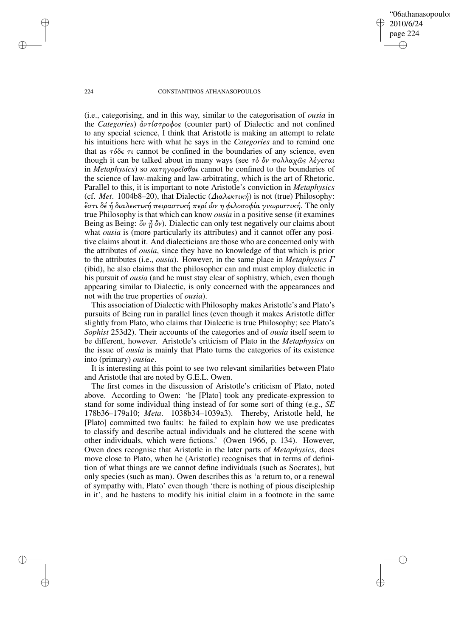'06athanasopoulo 2010/6/24 page 224 ✐ ✐

✐

✐

#### 224 CONSTANTINOS ATHANASOPOULOS

(i.e., categorising, and in this way, similar to the categorisation of *ousia* in the *Categories*)  $\frac{\partial \nu \tau}{\partial \sigma \rho} \phi$  (counter part) of Dialectic and not confined to any special science, I think that Aristotle is making an attempt to relate his intuitions here with what he says in the *Categories* and to remind one that as  $\tau \delta \delta \epsilon \tau \iota$  cannot be confined in the boundaries of any science, even though it can be talked about in many ways (see τὸ ὄν πολλαχῶς λέγεται in *Metaphysics*) so κατηγορεσθαι cannot be confined to the boundaries of the science of law-making and law-arbitrating, which is the art of Rhetoric. Parallel to this, it is important to note Aristotle's conviction in *Metaphysics* (cf. *Met*. 1004b8–20), that Dialectic (∆ιαλεκτική) is not (true) Philosophy:  $\epsilon$ στι δέ ή διαλεκτική πειραστική περί ών η φιλοσοφία γνωριστική. The only true Philosophy is that which can know *ousia* in a positive sense (it examines Being as Being:  $\delta v \hat{\eta} \delta v$ ). Dialectic can only test negatively our claims about what *ousia* is (more particularly its attributes) and it cannot offer any positive claims about it. And dialecticians are those who are concerned only with the attributes of *ousia*, since they have no knowledge of that which is prior to the attributes (i.e., *ousia*). However, in the same place in *Metaphysics* Γ (ibid), he also claims that the philosopher can and must employ dialectic in his pursuit of *ousia* (and he must stay clear of sophistry, which, even though appearing similar to Dialectic, is only concerned with the appearances and not with the true properties of *ousia*).

This association of Dialectic with Philosophy makes Aristotle's and Plato's pursuits of Being run in parallel lines (even though it makes Aristotle differ slightly from Plato, who claims that Dialectic is true Philosophy; see Plato's *Sophist* 253d2). Their accounts of the categories and of *ousia* itself seem to be different, however. Aristotle's criticism of Plato in the *Metaphysics* on the issue of *ousia* is mainly that Plato turns the categories of its existence into (primary) *ousiae*.

It is interesting at this point to see two relevant similarities between Plato and Aristotle that are noted by G.E.L. Owen.

The first comes in the discussion of Aristotle's criticism of Plato, noted above. According to Owen: 'he [Plato] took any predicate-expression to stand for some individual thing instead of for some sort of thing (e.g., *SE* 178b36–179a10; *Meta*. 1038b34–1039a3). Thereby, Aristotle held, he [Plato] committed two faults: he failed to explain how we use predicates to classify and describe actual individuals and he cluttered the scene with other individuals, which were fictions.' (Owen 1966, p. 134). However, Owen does recognise that Aristotle in the later parts of *Metaphysics*, does move close to Plato, when he (Aristotle) recognises that in terms of definition of what things are we cannot define individuals (such as Socrates), but only species (such as man). Owen describes this as 'a return to, or a renewal of sympathy with, Plato' even though 'there is nothing of pious discipleship in it', and he hastens to modify his initial claim in a footnote in the same

✐

✐

✐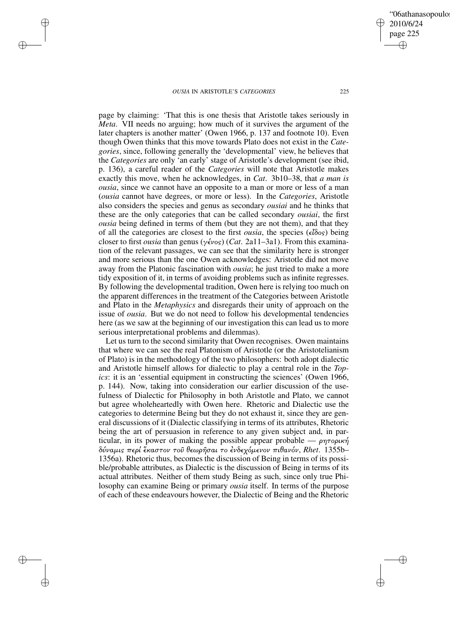✐

✐

✐

✐

page by claiming: 'That this is one thesis that Aristotle takes seriously in *Meta*. VII needs no arguing; how much of it survives the argument of the later chapters is another matter' (Owen 1966, p. 137 and footnote 10). Even though Owen thinks that this move towards Plato does not exist in the *Categories*, since, following generally the 'developmental' view, he believes that the *Categories* are only 'an early' stage of Aristotle's development (see ibid, p. 136), a careful reader of the *Categories* will note that Aristotle makes exactly this move, when he acknowledges, in *Cat*. 3b10–38, that *a man is ousia*, since we cannot have an opposite to a man or more or less of a man (*ousia* cannot have degrees, or more or less). In the *Categories*, Aristotle also considers the species and genus as secondary *ousiai* and he thinks that these are the only categories that can be called secondary *ousiai*, the first *ousia* being defined in terms of them (but they are not them), and that they of all the categories are closest to the first *ousia*, the species (εδος) being closer to first *ousia* than genus (γένος) (*Cat*. 2a11–3a1). From this examination of the relevant passages, we can see that the similarity here is stronger and more serious than the one Owen acknowledges: Aristotle did not move away from the Platonic fascination with *ousia*; he just tried to make a more tidy exposition of it, in terms of avoiding problems such as infinite regresses. By following the developmental tradition, Owen here is relying too much on the apparent differences in the treatment of the Categories between Aristotle and Plato in the *Metaphysics* and disregards their unity of approach on the issue of *ousia*. But we do not need to follow his developmental tendencies here (as we saw at the beginning of our investigation this can lead us to more serious interpretational problems and dilemmas).

Let us turn to the second similarity that Owen recognises. Owen maintains that where we can see the real Platonism of Aristotle (or the Aristotelianism of Plato) is in the methodology of the two philosophers: both adopt dialectic and Aristotle himself allows for dialectic to play a central role in the *Topics*: it is an 'essential equipment in constructing the sciences' (Owen 1966, p. 144). Now, taking into consideration our earlier discussion of the usefulness of Dialectic for Philosophy in both Aristotle and Plato, we cannot but agree wholeheartedly with Owen here. Rhetoric and Dialectic use the categories to determine Being but they do not exhaust it, since they are general discussions of it (Dialectic classifying in terms of its attributes, Rhetoric being the art of persuasion in reference to any given subject and, in particular, in its power of making the possible appear probable — ρητορική δύναµις περί καστον τοà θεωρÁσαι το νδεχόµενον πιθανόν, *Rhet*. 1355b– 1356a). Rhetoric thus, becomes the discussion of Being in terms of its possible/probable attributes, as Dialectic is the discussion of Being in terms of its actual attributes. Neither of them study Being as such, since only true Philosophy can examine Being or primary *ousia* itself. In terms of the purpose of each of these endeavours however, the Dialectic of Being and the Rhetoric

'06athanasopoulo 2010/6/24 page 225 ✐ ✐

✐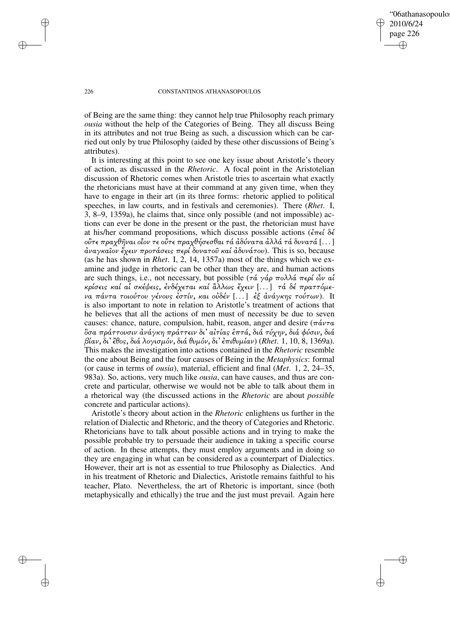'06athanasopoulo 2010/6/24 page 226 ✐ ✐

✐

✐

#### 226 CONSTANTINOS ATHANASOPOULOS

of Being are the same thing: they cannot help true Philosophy reach primary *ousia* without the help of the Categories of Being. They all discuss Being in its attributes and not true Being as such, a discussion which can be carried out only by true Philosophy (aided by these other discussions of Being's attributes).

It is interesting at this point to see one key issue about Aristotle's theory of action, as discussed in the *Rhetoric*. A focal point in the Aristotelian discussion of Rhetoric comes when Aristotle tries to ascertain what exactly the rhetoricians must have at their command at any given time, when they have to engage in their art (in its three forms: rhetoric applied to political speeches, in law courts, and in festivals and ceremonies). There (*Rhet*. I, 3, 8–9, 1359a), he claims that, since only possible (and not impossible) actions can ever be done in the present or the past, the rhetorician must have at his/her command propositions, which discuss possible actions ( $\epsilon \neq \epsilon$ ) οὒτε πραχθῆναι οἷον τε οῢτε πραχθήσεσθαι τά ἀδύνατα ἀλλά τά δυνατά  $[ \dots ]$  $\dot{\alpha}$ ναγκαΐον έχειν προτάσεις περί δυνατοῦ καί  $\dot{\alpha}$ δυνάτου). This is so, because (as he has shown in *Rhet*. I, 2, 14, 1357a) most of the things which we examine and judge in rhetoric can be other than they are, and human actions are such things, i.e., not necessary, but possible (τά γάρ πολλά περί ὦν αί κρίσεις καί αί σκέψεις, ενδέχεται καί ἂλλως έχειν [...] τά δέ πραττόμενα πάντα τοιούτου γένους έστίν, και οὐδέν [...] εξ ανάγκης τούτων). It is also important to note in relation to Aristotle's treatment of actions that he believes that all the actions of men must of necessity be due to seven causes: chance, nature, compulsion, habit, reason, anger and desire ( $\pi \acute{a} \nu \tau \alpha$ δσα πράττουσιν ἀνάγκη πράττειν δι' αίτίας έπτά, διά τύχην, διά φύσιν, διά βίαν, δι' θος, διά λογισµόν, διά θυµόν, δι' πιθυµίαν) (*Rhet*. 1, 10, 8, 1369a). This makes the investigation into actions contained in the *Rhetoric* resemble the one about Being and the four causes of Being in the *Metaphysics*: formal (or cause in terms of *ousia*), material, efficient and final (*Met*. 1, 2, 24–35, 983a). So, actions, very much like *ousia*, can have causes, and thus are concrete and particular, otherwise we would not be able to talk about them in a rhetorical way (the discussed actions in the *Rhetoric* are about *possible* concrete and particular actions).

Aristotle's theory about action in the *Rhetoric* enlightens us further in the relation of Dialectic and Rhetoric, and the theory of Categories and Rhetoric. Rhetoricians have to talk about possible actions and in trying to make the possible probable try to persuade their audience in taking a specific course of action. In these attempts, they must employ arguments and in doing so they are engaging in what can be considered as a counterpart of Dialectics. However, their art is not as essential to true Philosophy as Dialectics. And in his treatment of Rhetoric and Dialectics, Aristotle remains faithful to his teacher, Plato. Nevertheless, the art of Rhetoric is important, since (both metaphysically and ethically) the true and the just must prevail. Again here

✐

✐

✐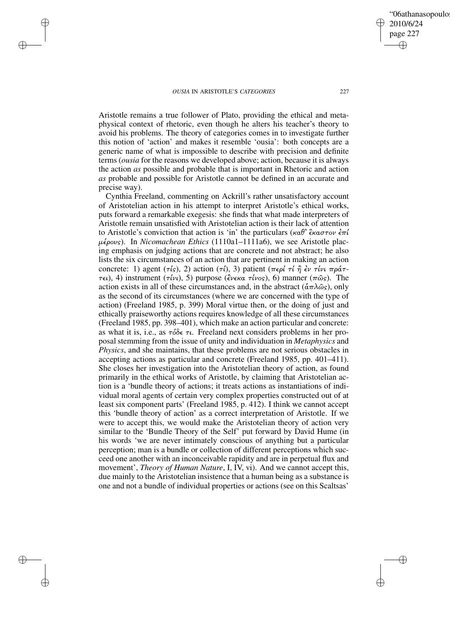✐

✐

✐

✐

Aristotle remains a true follower of Plato, providing the ethical and metaphysical context of rhetoric, even though he alters his teacher's theory to avoid his problems. The theory of categories comes in to investigate further this notion of 'action' and makes it resemble 'ousia': both concepts are a generic name of what is impossible to describe with precision and definite terms (*ousia* for the reasons we developed above; action, because it is always the action *as* possible and probable that is important in Rhetoric and action *as* probable and possible for Aristotle cannot be defined in an accurate and precise way).

Cynthia Freeland, commenting on Ackrill's rather unsatisfactory account of Aristotelian action in his attempt to interpret Aristotle's ethical works, puts forward a remarkable exegesis: she finds that what made interpreters of Aristotle remain unsatisfied with Aristotelian action is their lack of attention to Aristotle's conviction that action is 'in' the particulars (καθ' έκαστον έπί µέρους). In *Nicomachean Ethics* (1110a1–1111a6), we see Aristotle placing emphasis on judging actions that are concrete and not abstract; he also lists the six circumstances of an action that are pertinent in making an action concrete: 1) agent (τίς), 2) action (τί), 3) patient (περί τί η έν τίνι πράττει), 4) instrument (τίνι), 5) purpose (ένεκα τίνος), 6) manner (πως). The action exists in all of these circumstances and, in the abstract  $(\hat{\alpha}\pi\lambda\hat{\omega}_s)$ , only as the second of its circumstances (where we are concerned with the type of action) (Freeland 1985, p. 399) Moral virtue then, or the doing of just and ethically praiseworthy actions requires knowledge of all these circumstances (Freeland 1985, pp. 398–401), which make an action particular and concrete: as what it is, i.e., as  $\tau \delta \delta \epsilon \tau \iota$ . Freeland next considers problems in her proposal stemming from the issue of unity and individuation in *Metaphysics* and *Physics*, and she maintains, that these problems are not serious obstacles in accepting actions as particular and concrete (Freeland 1985, pp. 401–411). She closes her investigation into the Aristotelian theory of action, as found primarily in the ethical works of Aristotle, by claiming that Aristotelian action is a 'bundle theory of actions; it treats actions as instantiations of individual moral agents of certain very complex properties constructed out of at least six component parts' (Freeland 1985, p. 412). I think we cannot accept this 'bundle theory of action' as a correct interpretation of Aristotle. If we were to accept this, we would make the Aristotelian theory of action very similar to the 'Bundle Theory of the Self' put forward by David Hume (in his words 'we are never intimately conscious of anything but a particular perception; man is a bundle or collection of different perceptions which succeed one another with an inconceivable rapidity and are in perpetual flux and movement', *Theory of Human Nature*, I, IV, vi). And we cannot accept this, due mainly to the Aristotelian insistence that a human being as a substance is one and not a bundle of individual properties or actions (see on this Scaltsas'

✐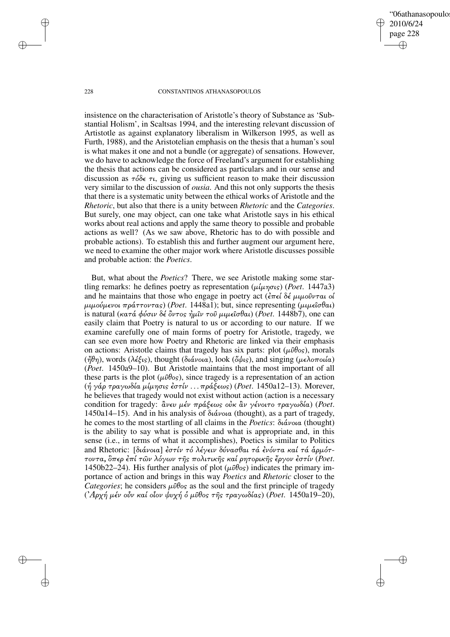'06athanasopoulo 2010/6/24 page 228 ✐ ✐

✐

✐

#### 228 CONSTANTINOS ATHANASOPOULOS

insistence on the characterisation of Aristotle's theory of Substance as 'Substantial Holism', in Scaltsas 1994, and the interesting relevant discussion of Artistotle as against explanatory liberalism in Wilkerson 1995, as well as Furth, 1988), and the Aristotelian emphasis on the thesis that a human's soul is what makes it one and not a bundle (or aggregate) of sensations. However, we do have to acknowledge the force of Freeland's argument for establishing the thesis that actions can be considered as particulars and in our sense and discussion as  $\tau \delta \delta \epsilon \tau \mu$ , giving us sufficient reason to make their discussion very similar to the discussion of *ousia*. And this not only supports the thesis that there is a systematic unity between the ethical works of Aristotle and the *Rhetoric*, but also that there is a unity between *Rhetoric* and the *Categories*. But surely, one may object, can one take what Aristotle says in his ethical works about real actions and apply the same theory to possible and probable actions as well? (As we saw above, Rhetoric has to do with possible and probable actions). To establish this and further augment our argument here, we need to examine the other major work where Aristotle discusses possible and probable action: the *Poetics*.

But, what about the *Poetics*? There, we see Aristotle making some startling remarks: he defines poetry as representation  $(\mu \mu \eta \sigma \kappa)$  (*Poet.* 1447a3) and he maintains that those who engage in poetry act ( $\epsilon \pi \epsilon \delta \epsilon \mu \mu \omega \hat{\nu} \nu \tau \alpha \omega$  $\mu\mu\omega\omega\mu\epsilon\nu\omega\pi\rho\alpha\tau\tau\omega\tau\alpha s$ ) (*Poet.* 1448a1); but, since representing ( $\mu\mu\epsilon\omega\theta\alpha$ ) is natural (κατά φύσιν δέ όντος ήμιν του μιμεισθαι) (*Poet*. 1448b7), one can easily claim that Poetry is natural to us or according to our nature. If we examine carefully one of main forms of poetry for Aristotle, tragedy, we can see even more how Poetry and Rhetoric are linked via their emphasis on actions: Aristotle claims that tragedy has six parts: plot ( $\mu \hat{\nu} \theta$ os), morals ( $\mathbf{\ddot{\eta}}\theta\eta$ ), words (λέξις), thought (διάνοια), look (όψις), and singing (μελοποιία) (*Poet*. 1450a9–10). But Aristotle maintains that the most important of all these parts is the plot ( $\mu \hat{\nu} \theta$ os), since tragedy is a representation of an action (¹ γάρ τραγωδία µίµησις στίν . . .πράξεως) (*Poet*. 1450a12–13). Morever, he believes that tragedy would not exist without action (action is a necessary condition for tragedy:  $\ddot{a}$ νευ μέν πράξεως οὐκ  $\ddot{a}v$  γένοιτο τραγωδία) (*Poet*. 1450a14–15). And in his analysis of διάνοια (thought), as a part of tragedy, he comes to the most startling of all claims in the *Poetics*: διάνοια (thought) is the ability to say what is possible and what is appropriate and, in this sense (i.e., in terms of what it accomplishes), Poetics is similar to Politics and Rhetoric: [διάνοια] έστίν τό λέγειν δύνασθαι τά ένόντα καί τά άρμόττοντα, Όπερ έπί των λόγων της πολιτικής καί ρητορικής έργον έστίν (Poet. 1450b22–24). His further analysis of plot ( $\mu \hat{\nu} \theta$ os) indicates the primary importance of action and brings in this way *Poetics* and *Rhetoric* closer to the *Categories*; he considers  $\mu \hat{\nu} \theta$ <sub>os</sub> as the soul and the first principle of tragedy  $($ ' $A$ ρχή μέν οὖν καί οἶον ψυχή ὁ μῦθος τῆς τραγωδίας) (*Poet.* 1450a19–20),

✐

✐

✐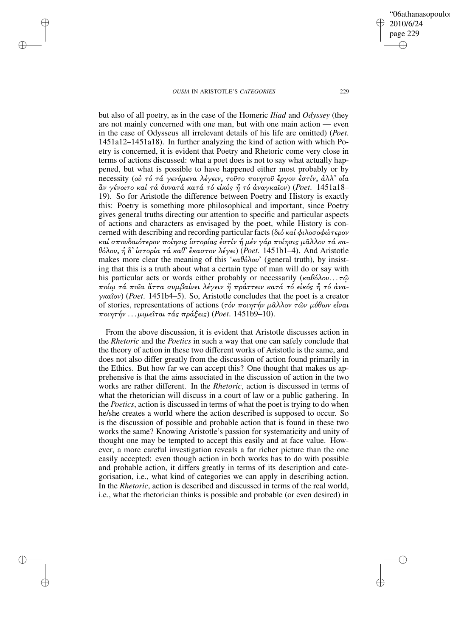✐

✐

✐

✐

2010/6/24 page 229 ✐ ✐

✐

✐

'06athanasopoulo

but also of all poetry, as in the case of the Homeric *Iliad* and *Odyssey* (they are not mainly concerned with one man, but with one main action — even in the case of Odysseus all irrelevant details of his life are omitted) (*Poet*. 1451a12–1451a18). In further analyzing the kind of action with which Poetry is concerned, it is evident that Poetry and Rhetoric come very close in terms of actions discussed: what a poet does is not to say what actually happened, but what is possible to have happened either most probably or by necessity (ού τό τά γενόμενα λέγειν, τούτο ποιητού έργον έστίν, άλλ' οία άν γένοιτο καί τά δυνατά κατά τό είκός ή τό άναγκαΐον) (Poet. 1451a18-19). So for Aristotle the difference between Poetry and History is exactly this: Poetry is something more philosophical and important, since Poetry gives general truths directing our attention to specific and particular aspects of actions and characters as envisaged by the poet, while History is concerned with describing and recording particular facts (διό καί φιλοσοφώτερον καί σπουδαιότερον ποίησις ἱστορίας ἐστίν ἡ μέν γάρ ποίησις μᾶλλον τά κα- $\theta$ όλου, ή δ' ίστορία τά καθ' έκαστον λέγει) (*Poet*. 1451b1–4). And Aristotle makes more clear the meaning of this 'καθόλου' (general truth), by insisting that this is a truth about what a certain type of man will do or say with his particular acts or words either probably or necessarily  $(\kappa a \theta \delta \lambda o \nu \ldots \tau \hat{\omega})$ ποίω τά ποῖα ἄττα συμβαίνει λέγειν ἤ πράττειν κατά τό εἱκός ἢ τό ἀναγκαον) (*Poet*. 1451b4–5). So, Aristotle concludes that the poet is a creator of stories, representations of actions (τόν ποιητήν μάλλον τῶν μύθων εἶναι ποιητήν . . . µιµεται τάς πράξεις) (*Poet*. 1451b9–10).

From the above discussion, it is evident that Aristotle discusses action in the *Rhetoric* and the *Poetics* in such a way that one can safely conclude that the theory of action in these two different works of Aristotle is the same, and does not also differ greatly from the discussion of action found primarily in the Ethics. But how far we can accept this? One thought that makes us apprehensive is that the aims associated in the discussion of action in the two works are rather different. In the *Rhetoric*, action is discussed in terms of what the rhetorician will discuss in a court of law or a public gathering. In the *Poetics*, action is discussed in terms of what the poet is trying to do when he/she creates a world where the action described is supposed to occur. So is the discussion of possible and probable action that is found in these two works the same? Knowing Aristotle's passion for systematicity and unity of thought one may be tempted to accept this easily and at face value. However, a more careful investigation reveals a far richer picture than the one easily accepted: even though action in both works has to do with possible and probable action, it differs greatly in terms of its description and categorisation, i.e., what kind of categories we can apply in describing action. In the *Rhetoric*, action is described and discussed in terms of the real world, i.e., what the rhetorician thinks is possible and probable (or even desired) in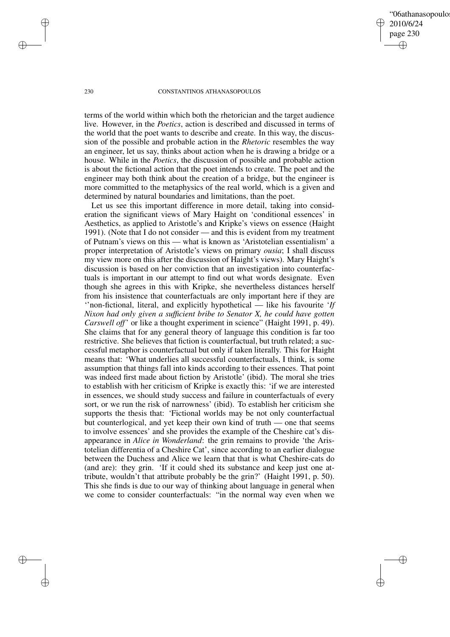'06athanasopoulo 2010/6/24 page 230 ✐ ✐

✐

✐

#### 230 CONSTANTINOS ATHANASOPOULOS

terms of the world within which both the rhetorician and the target audience live. However, in the *Poetics*, action is described and discussed in terms of the world that the poet wants to describe and create. In this way, the discussion of the possible and probable action in the *Rhetoric* resembles the way an engineer, let us say, thinks about action when he is drawing a bridge or a house. While in the *Poetics*, the discussion of possible and probable action is about the fictional action that the poet intends to create. The poet and the engineer may both think about the creation of a bridge, but the engineer is more committed to the metaphysics of the real world, which is a given and determined by natural boundaries and limitations, than the poet.

Let us see this important difference in more detail, taking into consideration the significant views of Mary Haight on 'conditional essences' in Aesthetics, as applied to Aristotle's and Kripke's views on essence (Haight 1991). (Note that I do not consider — and this is evident from my treatment of Putnam's views on this — what is known as 'Aristotelian essentialism' a proper interpretation of Aristotle's views on primary *ousia*; I shall discuss my view more on this after the discussion of Haight's views). Mary Haight's discussion is based on her conviction that an investigation into counterfactuals is important in our attempt to find out what words designate. Even though she agrees in this with Kripke, she nevertheless distances herself from his insistence that counterfactuals are only important here if they are ''non-fictional, literal, and explicitly hypothetical — like his favourite '*If Nixon had only given a sufficient bribe to Senator X, he could have gotten Carswell off*' or like a thought experiment in science" (Haight 1991, p. 49). She claims that for any general theory of language this condition is far too restrictive. She believes that fiction is counterfactual, but truth related; a successful metaphor is counterfactual but only if taken literally. This for Haight means that: 'What underlies all successful counterfactuals, I think, is some assumption that things fall into kinds according to their essences. That point was indeed first made about fiction by Aristotle' (ibid). The moral she tries to establish with her criticism of Kripke is exactly this: 'if we are interested in essences, we should study success and failure in counterfactuals of every sort, or we run the risk of narrowness' (ibid). To establish her criticism she supports the thesis that: 'Fictional worlds may be not only counterfactual but counterlogical, and yet keep their own kind of truth — one that seems to involve essences' and she provides the example of the Cheshire cat's disappearance in *Alice in Wonderland*: the grin remains to provide 'the Aristotelian differentia of a Cheshire Cat', since according to an earlier dialogue between the Duchess and Alice we learn that that is what Cheshire-cats do (and are): they grin. 'If it could shed its substance and keep just one attribute, wouldn't that attribute probably be the grin?' (Haight 1991, p. 50). This she finds is due to our way of thinking about language in general when we come to consider counterfactuals: "in the normal way even when we

✐

✐

✐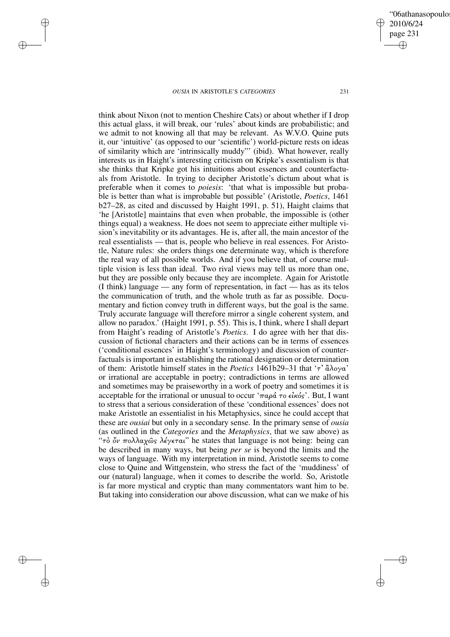✐

✐

✐

✐

think about Nixon (not to mention Cheshire Cats) or about whether if I drop this actual glass, it will break, our 'rules' about kinds are probabilistic; and we admit to not knowing all that may be relevant. As W.V.O. Quine puts it, our 'intuitive' (as opposed to our 'scientific') world-picture rests on ideas of similarity which are 'intrinsically muddy"' (ibid). What however, really interests us in Haight's interesting criticism on Kripke's essentialism is that she thinks that Kripke got his intuitions about essences and counterfactuals from Aristotle. In trying to decipher Aristotle's dictum about what is preferable when it comes to *poiesis*: 'that what is impossible but probable is better than what is improbable but possible' (Aristotle, *Poetics*, 1461 b27–28, as cited and discussed by Haight 1991, p. 51), Haight claims that 'he [Aristotle] maintains that even when probable, the impossible is (other things equal) a weakness. He does not seem to appreciate either multiple vision's inevitability or its advantages. He is, after all, the main ancestor of the real essentialists — that is, people who believe in real essences. For Aristotle, Nature rules: she orders things one determinate way, which is therefore the real way of all possible worlds. And if you believe that, of course multiple vision is less than ideal. Two rival views may tell us more than one, but they are possible only because they are incomplete. Again for Aristotle (I think) language — any form of representation, in fact — has as its telos the communication of truth, and the whole truth as far as possible. Documentary and fiction convey truth in different ways, but the goal is the same. Truly accurate language will therefore mirror a single coherent system, and allow no paradox.' (Haight 1991, p. 55). This is, I think, where I shall depart from Haight's reading of Aristotle's *Poetics*. I do agree with her that discussion of fictional characters and their actions can be in terms of essences ('conditional essences' in Haight's terminology) and discussion of counterfactuals is important in establishing the rational designation or determination of them: Aristotle himself states in the *Poetics* 1461b29–31 that 'τ'  $\partial \lambda$ ογα' or irrational are acceptable in poetry; contradictions in terms are allowed and sometimes may be praiseworthy in a work of poetry and sometimes it is acceptable for the irrational or unusual to occur ' $\pi a \rho \acute{a} \tau o \epsilon \acute{i} \kappa o \acute{s}$ '. But, I want to stress that a serious consideration of these 'conditional essences' does not make Aristotle an essentialist in his Metaphysics, since he could accept that these are *ousiai* but only in a secondary sense. In the primary sense of *ousia* (as outlined in the *Categories* and the *Metaphysics*, that we saw above) as "τὸ ὄν πολλαχῶς λέγεται" he states that language is not being: being can be described in many ways, but being *per se* is beyond the limits and the ways of language. With my interpretation in mind, Aristotle seems to come close to Quine and Wittgenstein, who stress the fact of the 'muddiness' of our (natural) language, when it comes to describe the world. So, Aristotle is far more mystical and cryptic than many commentators want him to be. But taking into consideration our above discussion, what can we make of his

'06athanasopoulo 2010/6/24 page 231 ✐ ✐

✐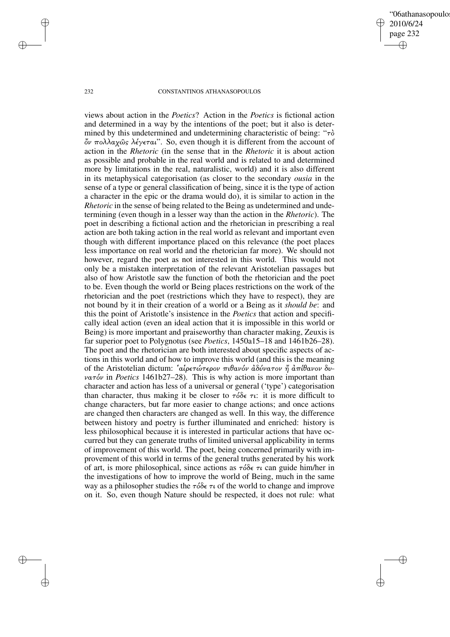'06athanasopoulo 2010/6/24 page 232 ✐ ✐

✐

✐

## 232 CONSTANTINOS ATHANASOPOULOS

✐

✐

✐

✐

views about action in the *Poetics*? Action in the *Poetics* is fictional action and determined in a way by the intentions of the poet; but it also is determined by this undetermined and undetermining characteristic of being: " $\tau\delta$  $\ddot{\phi}$ ν πολλαχώς λέγεται". So, even though it is different from the account of action in the *Rhetoric* (in the sense that in the *Rhetoric* it is about action as possible and probable in the real world and is related to and determined more by limitations in the real, naturalistic, world) and it is also different in its metaphysical categorisation (as closer to the secondary *ousia* in the sense of a type or general classification of being, since it is the type of action a character in the epic or the drama would do), it is similar to action in the *Rhetoric* in the sense of being related to the Being as undetermined and undetermining (even though in a lesser way than the action in the *Rhetoric*). The poet in describing a fictional action and the rhetorician in prescribing a real action are both taking action in the real world as relevant and important even though with different importance placed on this relevance (the poet places less importance on real world and the rhetorician far more). We should not however, regard the poet as not interested in this world. This would not only be a mistaken interpretation of the relevant Aristotelian passages but also of how Aristotle saw the function of both the rhetorician and the poet to be. Even though the world or Being places restrictions on the work of the rhetorician and the poet (restrictions which they have to respect), they are not bound by it in their creation of a world or a Being as it *should be*: and this the point of Aristotle's insistence in the *Poetics* that action and specifically ideal action (even an ideal action that it is impossible in this world or Being) is more important and praiseworthy than character making, Zeuxis is far superior poet to Polygnotus (see *Poetics*, 1450a15–18 and 1461b26–28). The poet and the rhetorician are both interested about specific aspects of actions in this world and of how to improve this world (and this is the meaning of the Aristotelian dictum: 'αίρετώτερον πιθανόν άδύνατον ή άπίθανον δυνατόν in *Poetics* 1461b27–28). This is why action is more important than character and action has less of a universal or general ('type') categorisation than character, thus making it be closer to  $\tau \delta \delta \epsilon \tau \mu$ : it is more difficult to change characters, but far more easier to change actions; and once actions are changed then characters are changed as well. In this way, the difference between history and poetry is further illuminated and enriched: history is less philosophical because it is interested in particular actions that have occurred but they can generate truths of limited universal applicability in terms of improvement of this world. The poet, being concerned primarily with improvement of this world in terms of the general truths generated by his work of art, is more philosophical, since actions as  $\tau \delta \delta \epsilon \tau \iota$  can guide him/her in the investigations of how to improve the world of Being, much in the same way as a philosopher studies the  $\tau \delta \delta \epsilon \tau \nu$  of the world to change and improve on it. So, even though Nature should be respected, it does not rule: what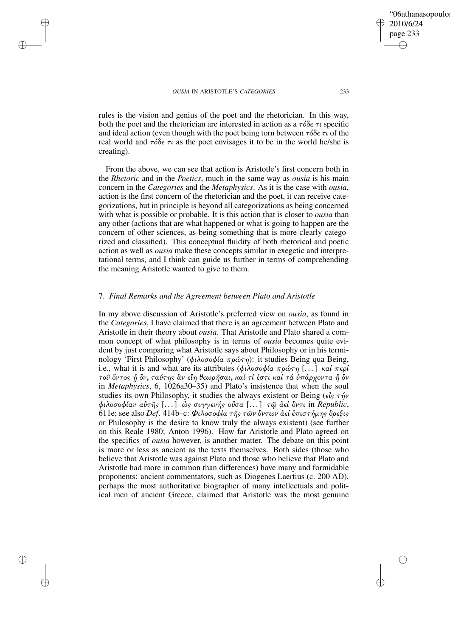✐

✐

#### *OUSIA* IN ARISTOTLE'S *CATEGORIES* 233

✐

✐

✐

✐

rules is the vision and genius of the poet and the rhetorician. In this way, both the poet and the rhetorician are interested in action as a  $\tau \delta \delta \epsilon \tau \iota$  specific and ideal action (even though with the poet being torn between  $\tau \delta \delta \epsilon \tau \nu$  of the real world and  $\tau \delta \delta \epsilon \tau \tau$  as the poet envisages it to be in the world he/she is creating).

From the above, we can see that action is Aristotle's first concern both in the *Rhetoric* and in the *Poetics*, much in the same way as *ousia* is his main concern in the *Categories* and the *Metaphysics*. As it is the case with *ousia*, action is the first concern of the rhetorician and the poet, it can receive categorizations, but in principle is beyond all categorizations as being concerned with what is possible or probable. It is this action that is closer to *ousia* than any other (actions that are what happened or what is going to happen are the concern of other sciences, as being something that is more clearly categorized and classified). This conceptual fluidity of both rhetorical and poetic action as well as *ousia* make these concepts similar in exegetic and interpretational terms, and I think can guide us further in terms of comprehending the meaning Aristotle wanted to give to them.

# 7. *Final Remarks and the Agreement between Plato and Aristotle*

In my above discussion of Aristotle's preferred view on *ousia*, as found in the *Categories*, I have claimed that there is an agreement between Plato and Aristotle in their theory about *ousia*. That Aristotle and Plato shared a common concept of what philosophy is in terms of *ousia* becomes quite evident by just comparing what Aristotle says about Philosophy or in his terminology 'First Philosophy' (φιλοσοφία πρώτη): it studies Being qua Being, i.e., what it is and what are its attributes (φιλοσοφία πρώτη [...] καί περί τοῦ ὄντος ή ὄν, ταύτης ἂν εἲη θεωρῆσαι, καί τί ἐστι καί τά ὑπάρχοντα ἤ ὂν in *Metaphysics*, 6, 1026a30–35) and Plato's insistence that when the soul studies its own Philosophy, it studies the always existent or Being ( $\epsilon \hat{i}$ s τήν φιλοσοφίαν αÙτÁς [. . .] çς συγγενής οÜσα [. . .] τù ¢εί ×ντι in *Republic*, 611e; see also *Def.* 414b–c: Φιλοσοφία της των όντων αεί επιστήμης όρεξις or Philosophy is the desire to know truly the always existent) (see further on this Reale 1980; Anton 1996). How far Aristotle and Plato agreed on the specifics of *ousia* however, is another matter. The debate on this point is more or less as ancient as the texts themselves. Both sides (those who believe that Aristotle was against Plato and those who believe that Plato and Aristotle had more in common than differences) have many and formidable proponents: ancient commentators, such as Diogenes Laertius (c. 200 AD), perhaps the most authoritative biographer of many intellectuals and political men of ancient Greece, claimed that Aristotle was the most genuine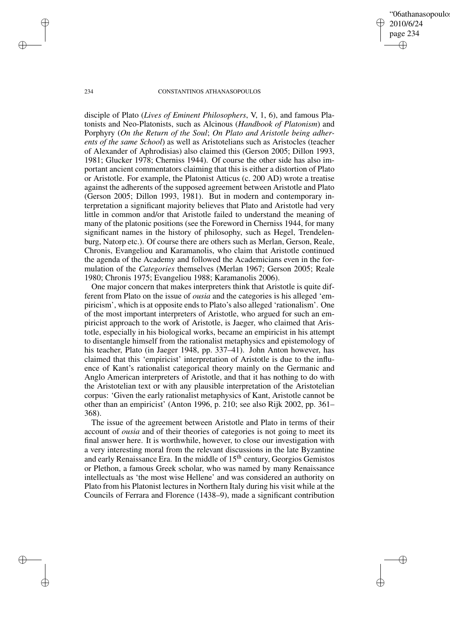'06athanasopoulo 2010/6/24 page 234 ✐ ✐

✐

✐

## 234 CONSTANTINOS ATHANASOPOULOS

disciple of Plato (*Lives of Eminent Philosophers*, V, 1, 6), and famous Platonists and Neo-Platonists, such as Alcinous (*Handbook of Platonism*) and Porphyry (*On the Return of the Soul*; *On Plato and Aristotle being adherents of the same School*) as well as Aristotelians such as Aristocles (teacher of Alexander of Aphrodisias) also claimed this (Gerson 2005; Dillon 1993, 1981; Glucker 1978; Cherniss 1944). Of course the other side has also important ancient commentators claiming that this is either a distortion of Plato or Aristotle. For example, the Platonist Atticus (c. 200 AD) wrote a treatise against the adherents of the supposed agreement between Aristotle and Plato (Gerson 2005; Dillon 1993, 1981). But in modern and contemporary interpretation a significant majority believes that Plato and Aristotle had very little in common and/or that Aristotle failed to understand the meaning of many of the platonic positions (see the Foreword in Cherniss 1944, for many significant names in the history of philosophy, such as Hegel, Trendelenburg, Natorp etc.). Of course there are others such as Merlan, Gerson, Reale, Chronis, Evangeliou and Karamanolis, who claim that Aristotle continued the agenda of the Academy and followed the Academicians even in the formulation of the *Categories* themselves (Merlan 1967; Gerson 2005; Reale 1980; Chronis 1975; Evangeliou 1988; Karamanolis 2006).

One major concern that makes interpreters think that Aristotle is quite different from Plato on the issue of *ousia* and the categories is his alleged 'empiricism', which is at opposite ends to Plato's also alleged 'rationalism'. One of the most important interpreters of Aristotle, who argued for such an empiricist approach to the work of Aristotle, is Jaeger, who claimed that Aristotle, especially in his biological works, became an empiricist in his attempt to disentangle himself from the rationalist metaphysics and epistemology of his teacher, Plato (in Jaeger 1948, pp. 337–41). John Anton however, has claimed that this 'empiricist' interpretation of Aristotle is due to the influence of Kant's rationalist categorical theory mainly on the Germanic and Anglo American interpreters of Aristotle, and that it has nothing to do with the Aristotelian text or with any plausible interpretation of the Aristotelian corpus: 'Given the early rationalist metaphysics of Kant, Aristotle cannot be other than an empiricist' (Anton 1996, p. 210; see also Rijk 2002, pp. 361– 368).

The issue of the agreement between Aristotle and Plato in terms of their account of *ousia* and of their theories of categories is not going to meet its final answer here. It is worthwhile, however, to close our investigation with a very interesting moral from the relevant discussions in the late Byzantine and early Renaissance Era. In the middle of  $15<sup>th</sup>$  century, Georgios Gemistos or Plethon, a famous Greek scholar, who was named by many Renaissance intellectuals as 'the most wise Hellene' and was considered an authority on Plato from his Platonist lectures in Northern Italy during his visit while at the Councils of Ferrara and Florence (1438–9), made a significant contribution

✐

✐

✐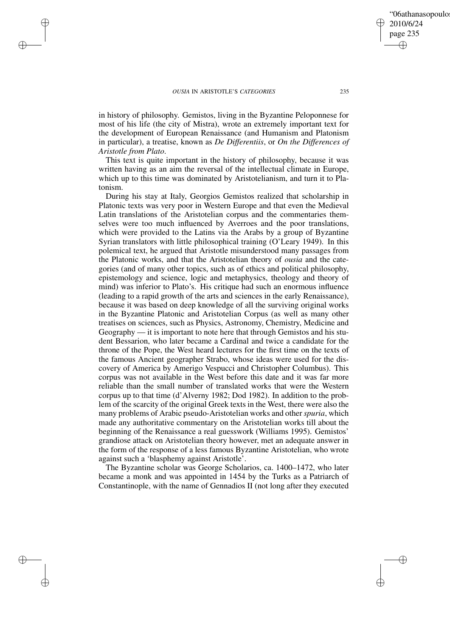✐

✐

✐

✐

in history of philosophy. Gemistos, living in the Byzantine Peloponnese for most of his life (the city of Mistra), wrote an extremely important text for the development of European Renaissance (and Humanism and Platonism in particular), a treatise, known as *De Differentiis*, or *On the Differences of Aristotle from Plato*.

This text is quite important in the history of philosophy, because it was written having as an aim the reversal of the intellectual climate in Europe, which up to this time was dominated by Aristotelianism, and turn it to Platonism.

During his stay at Italy, Georgios Gemistos realized that scholarship in Platonic texts was very poor in Western Europe and that even the Medieval Latin translations of the Aristotelian corpus and the commentaries themselves were too much influenced by Averroes and the poor translations, which were provided to the Latins via the Arabs by a group of Byzantine Syrian translators with little philosophical training (O'Leary 1949). In this polemical text, he argued that Aristotle misunderstood many passages from the Platonic works, and that the Aristotelian theory of *ousia* and the categories (and of many other topics, such as of ethics and political philosophy, epistemology and science, logic and metaphysics, theology and theory of mind) was inferior to Plato's. His critique had such an enormous influence (leading to a rapid growth of the arts and sciences in the early Renaissance), because it was based on deep knowledge of all the surviving original works in the Byzantine Platonic and Aristotelian Corpus (as well as many other treatises on sciences, such as Physics, Astronomy, Chemistry, Medicine and Geography — it is important to note here that through Gemistos and his student Bessarion, who later became a Cardinal and twice a candidate for the throne of the Pope, the West heard lectures for the first time on the texts of the famous Ancient geographer Strabo, whose ideas were used for the discovery of America by Amerigo Vespucci and Christopher Columbus). This corpus was not available in the West before this date and it was far more reliable than the small number of translated works that were the Western corpus up to that time (d'Alverny 1982; Dod 1982). In addition to the problem of the scarcity of the original Greek texts in the West, there were also the many problems of Arabic pseudo-Aristotelian works and other *spuria*, which made any authoritative commentary on the Aristotelian works till about the beginning of the Renaissance a real guesswork (Williams 1995). Gemistos' grandiose attack on Aristotelian theory however, met an adequate answer in the form of the response of a less famous Byzantine Aristotelian, who wrote against such a 'blasphemy against Aristotle'.

The Byzantine scholar was George Scholarios, ca. 1400–1472, who later became a monk and was appointed in 1454 by the Turks as a Patriarch of Constantinople, with the name of Gennadios II (not long after they executed

✐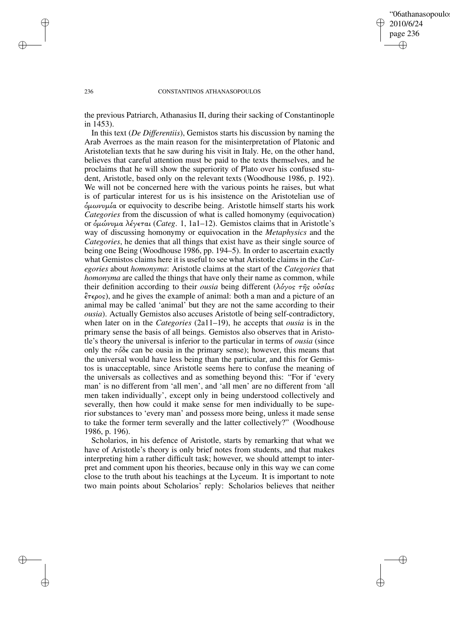# '06athanasopoulo 2010/6/24 page 236 ✐ ✐

✐

✐

#### 236 CONSTANTINOS ATHANASOPOULOS

the previous Patriarch, Athanasius II, during their sacking of Constantinople in 1453).

In this text (*De Differentiis*), Gemistos starts his discussion by naming the Arab Averroes as the main reason for the misinterpretation of Platonic and Aristotelian texts that he saw during his visit in Italy. He, on the other hand, believes that careful attention must be paid to the texts themselves, and he proclaims that he will show the superiority of Plato over his confused student, Aristotle, based only on the relevant texts (Woodhouse 1986, p. 192). We will not be concerned here with the various points he raises, but what is of particular interest for us is his insistence on the Aristotelian use of  $δ<sub>μωννμ</sub>ία$  or equivocity to describe being. Aristotle himself starts his work *Categories* from the discussion of what is called homonymy (equivocation) or еώνυµα λέγεται (*Categ*. 1, 1a1–12). Gemistos claims that in Aristotle's way of discussing homonymy or equivocation in the *Metaphysics* and the *Categories*, he denies that all things that exist have as their single source of being one Being (Woodhouse 1986, pp. 194–5). In order to ascertain exactly what Gemistos claims here it is useful to see what Aristotle claims in the *Categories* about *homonyma*: Aristotle claims at the start of the *Categories* that *homonyma* are called the things that have only their name as common, while their definition according to their *ousia* being different (λόγος της οὐσίας  $\zeta \tau \epsilon \rho_{\text{O}}(s)$ , and he gives the example of animal: both a man and a picture of an animal may be called 'animal' but they are not the same according to their *ousia*). Actually Gemistos also accuses Aristotle of being self-contradictory, when later on in the *Categories* (2a11–19), he accepts that *ousia* is in the primary sense the basis of all beings. Gemistos also observes that in Aristotle's theory the universal is inferior to the particular in terms of *ousia* (since only the  $\tau \delta \delta \epsilon$  can be ousia in the primary sense); however, this means that the universal would have less being than the particular, and this for Gemistos is unacceptable, since Aristotle seems here to confuse the meaning of the universals as collectives and as something beyond this: "For if 'every man' is no different from 'all men', and 'all men' are no different from 'all men taken individually', except only in being understood collectively and severally, then how could it make sense for men individually to be superior substances to 'every man' and possess more being, unless it made sense to take the former term severally and the latter collectively?" (Woodhouse 1986, p. 196).

Scholarios, in his defence of Aristotle, starts by remarking that what we have of Aristotle's theory is only brief notes from students, and that makes interpreting him a rather difficult task; however, we should attempt to interpret and comment upon his theories, because only in this way we can come close to the truth about his teachings at the Lyceum. It is important to note two main points about Scholarios' reply: Scholarios believes that neither

✐

✐

✐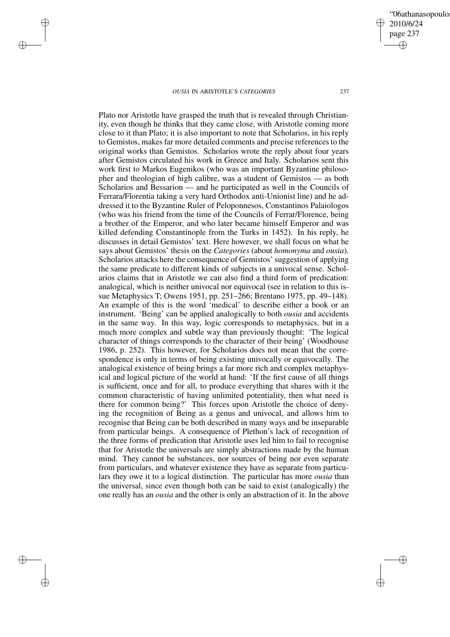✐

✐

✐

✐

Plato nor Aristotle have grasped the truth that is revealed through Christianity, even though he thinks that they came close, with Aristotle coming more close to it than Plato; it is also important to note that Scholarios, in his reply to Gemistos, makes far more detailed comments and precise references to the original works than Gemistos. Scholarios wrote the reply about four years after Gemistos circulated his work in Greece and Italy. Scholarios sent this work first to Markos Eugenikos (who was an important Byzantine philosopher and theologian of high calibre, was a student of Gemistos — as both Scholarios and Bessarion — and he participated as well in the Councils of Ferrara/Florentia taking a very hard Orthodox anti-Unionist line) and he addressed it to the Byzantine Ruler of Peloponnesos, Constantinos Palaiologos (who was his friend from the time of the Councils of Ferrar/Florence, being a brother of the Emperor, and who later became himself Emperor and was killed defending Constantinople from the Turks in 1452). In his reply, he discusses in detail Gemistos' text. Here however, we shall focus on what he says about Gemistos' thesis on the *Categories* (about *homonyma* and *ousia*). Scholarios attacks here the consequence of Gemistos'suggestion of applying the same predicate to different kinds of subjects in a univocal sense. Scholarios claims that in Aristotle we can also find a third form of predication: analogical, which is neither univocal nor equivocal (see in relation to this issue Metaphysics T; Owens 1951, pp. 251–266; Brentano 1975, pp. 49–148). An example of this is the word 'medical' to describe either a book or an instrument. 'Being' can be applied analogically to both *ousia* and accidents in the same way. In this way, logic corresponds to metaphysics, but in a much more complex and subtle way than previously thought: 'The logical character of things corresponds to the character of their being' (Woodhouse 1986, p. 252). This however, for Scholarios does not mean that the correspondence is only in terms of being existing univocally or equivocally. The analogical existence of being brings a far more rich and complex metaphysical and logical picture of the world at hand: 'If the first cause of all things is sufficient, once and for all, to produce everything that shares with it the common characteristic of having unlimited potentiality, then what need is there for common being?' This forces upon Aristotle the choice of denying the recognition of Being as a genus and univocal, and allows him to recognise that Being can be both described in many ways and be inseparable from particular beings. A consequence of Plethon's lack of recognition of the three forms of predication that Aristotle uses led him to fail to recognise that for Aristotle the universals are simply abstractions made by the human mind. They cannot be substances, nor sources of being nor even separate from particulars, and whatever existence they have as separate from particulars they owe it to a logical distinction. The particular has more *ousia* than the universal, since even though both can be said to exist (analogically) the one really has an *ousia* and the other is only an abstraction of it. In the above

'06athanasopoulo 2010/6/24 page 237 ✐ ✐

✐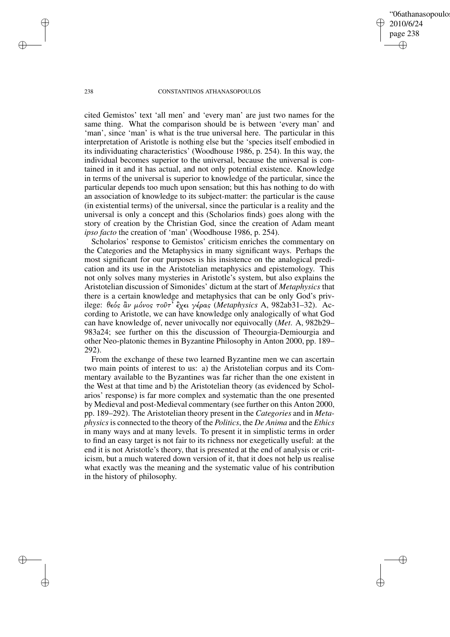'06athanasopoulo 2010/6/24 page 238 ✐ ✐

✐

✐

#### 238 CONSTANTINOS ATHANASOPOULOS

cited Gemistos' text 'all men' and 'every man' are just two names for the same thing. What the comparison should be is between 'every man' and 'man', since 'man' is what is the true universal here. The particular in this interpretation of Aristotle is nothing else but the 'species itself embodied in its individuating characteristics' (Woodhouse 1986, p. 254). In this way, the individual becomes superior to the universal, because the universal is contained in it and it has actual, and not only potential existence. Knowledge in terms of the universal is superior to knowledge of the particular, since the particular depends too much upon sensation; but this has nothing to do with an association of knowledge to its subject-matter: the particular is the cause (in existential terms) of the universal, since the particular is a reality and the universal is only a concept and this (Scholarios finds) goes along with the story of creation by the Christian God, since the creation of Adam meant *ipso facto* the creation of 'man' (Woodhouse 1986, p. 254).

Scholarios' response to Gemistos' criticism enriches the commentary on the Categories and the Metaphysics in many significant ways. Perhaps the most significant for our purposes is his insistence on the analogical predication and its use in the Aristotelian metaphysics and epistemology. This not only solves many mysteries in Aristotle's system, but also explains the Aristotelian discussion of Simonides' dictum at the start of *Metaphysics* that there is a certain knowledge and metaphysics that can be only God's privilege: θεός ἂν μόνος τοῦτ' ἒχει γέρας (Metaphysics A, 982ab31-32). According to Aristotle, we can have knowledge only analogically of what God can have knowledge of, never univocally nor equivocally (*Met*. A, 982b29– 983a24; see further on this the discussion of Theourgia-Demiourgia and other Neo-platonic themes in Byzantine Philosophy in Anton 2000, pp. 189– 292).

From the exchange of these two learned Byzantine men we can ascertain two main points of interest to us: a) the Aristotelian corpus and its Commentary available to the Byzantines was far richer than the one existent in the West at that time and b) the Aristotelian theory (as evidenced by Scholarios' response) is far more complex and systematic than the one presented by Medieval and post-Medieval commentary (see further on this Anton 2000, pp. 189–292). The Aristotelian theory present in the *Categories* and in *Metaphysics*is connected to the theory of the *Politics*, the *De Anima* and the *Ethics* in many ways and at many levels. To present it in simplistic terms in order to find an easy target is not fair to its richness nor exegetically useful: at the end it is not Aristotle's theory, that is presented at the end of analysis or criticism, but a much watered down version of it, that it does not help us realise what exactly was the meaning and the systematic value of his contribution in the history of philosophy.

✐

✐

✐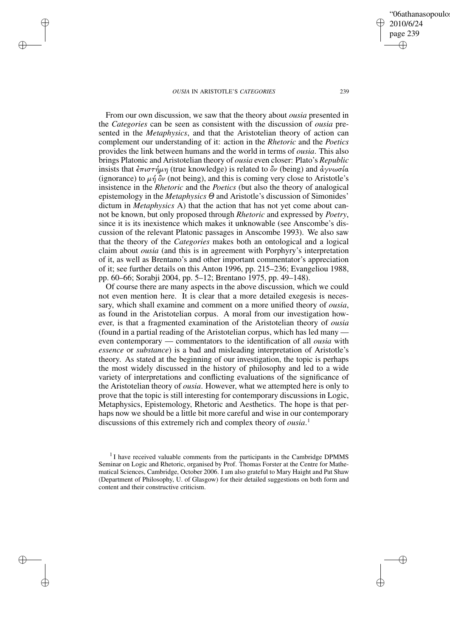✐

✐

✐

✐

From our own discussion, we saw that the theory about *ousia* presented in the *Categories* can be seen as consistent with the discussion of *ousia* presented in the *Metaphysics*, and that the Aristotelian theory of action can complement our understanding of it: action in the *Rhetoric* and the *Poetics* provides the link between humans and the world in terms of *ousia*. This also brings Platonic and Aristotelian theory of *ousia* even closer: Plato's *Republic* insists that  $\epsilon \pi i \sigma \tau \eta \mu \eta$  (true knowledge) is related to  $\delta \nu$  (being) and  $\dot{\alpha} \gamma \nu \omega \sigma \alpha$ (ignorance) to  $\mu \dot{\eta} \ddot{\delta} \nu$  (not being), and this is coming very close to Aristotle's insistence in the *Rhetoric* and the *Poetics* (but also the theory of analogical epistemology in the *Metaphysics* Θ and Aristotle's discussion of Simonides' dictum in *Metaphysics* A) that the action that has not yet come about cannot be known, but only proposed through *Rhetoric* and expressed by *Poetry*, since it is its inexistence which makes it unknowable (see Anscombe's discussion of the relevant Platonic passages in Anscombe 1993). We also saw that the theory of the *Categories* makes both an ontological and a logical claim about *ousia* (and this is in agreement with Porphyry's interpretation of it, as well as Brentano's and other important commentator's appreciation of it; see further details on this Anton 1996, pp. 215–236; Evangeliou 1988, pp. 60–66; Sorabji 2004, pp. 5–12; Brentano 1975, pp. 49–148).

Of course there are many aspects in the above discussion, which we could not even mention here. It is clear that a more detailed exegesis is necessary, which shall examine and comment on a more unified theory of *ousia*, as found in the Aristotelian corpus. A moral from our investigation however, is that a fragmented examination of the Aristotelian theory of *ousia* (found in a partial reading of the Aristotelian corpus, which has led many even contemporary — commentators to the identification of all *ousia* with *essence* or *substance*) is a bad and misleading interpretation of Aristotle's theory. As stated at the beginning of our investigation, the topic is perhaps the most widely discussed in the history of philosophy and led to a wide variety of interpretations and conflicting evaluations of the significance of the Aristotelian theory of *ousia*. However, what we attempted here is only to prove that the topic is still interesting for contemporary discussions in Logic, Metaphysics, Epistemology, Rhetoric and Aesthetics. The hope is that perhaps now we should be a little bit more careful and wise in our contemporary discussions of this extremely rich and complex theory of *ousia*. 1

'06athanasopoulo

2010/6/24 page 239

✐

✐

✐

 $1$ I have received valuable comments from the participants in the Cambridge DPMMS Seminar on Logic and Rhetoric, organised by Prof. Thomas Forster at the Centre for Mathematical Sciences, Cambridge, October 2006. I am also grateful to Mary Haight and Pat Shaw (Department of Philosophy, U. of Glasgow) for their detailed suggestions on both form and content and their constructive criticism.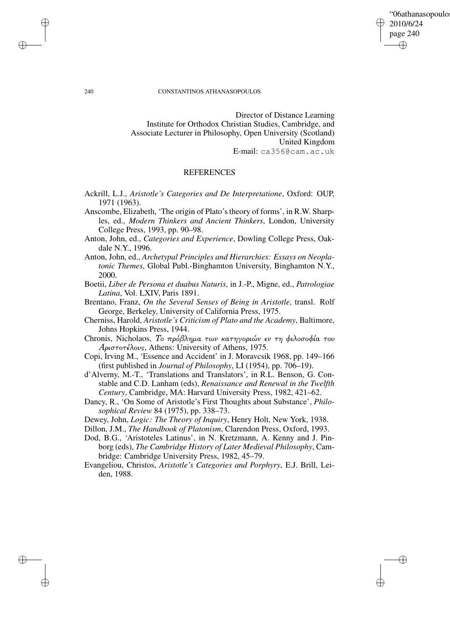✐

✐

#### 240 CONSTANTINOS ATHANASOPOULOS

Director of Distance Learning Institute for Orthodox Christian Studies, Cambridge, and Associate Lecturer in Philosophy, Open University (Scotland) United Kingdom E-mail: ca356@cam.ac.uk

# REFERENCES

- Ackrill, L.J., *Aristotle's Categories and De Interpretatione*, Oxford: OUP, 1971 (1963).
- Anscombe, Elizabeth, 'The origin of Plato's theory of forms', in R.W. Sharples, ed., *Modern Thinkers and Ancient Thinkers*, London, University College Press, 1993, pp. 90–98.
- Anton, John, ed., *Categories and Experience*, Dowling College Press, Oakdale N.Y., 1996.
- Anton, John, ed., *Archetypal Principles and Hierarchies: Essays on Neoplatonic Themes*, Global Publ.-Binghamton University, Binghamton N.Y., 2000.
- Boetii, *Liber de Persona et duabus Naturis*, in J.-P., Migne, ed., *Patrologiae Latina*, Vol. LXIV, Paris 1891.
- Brentano, Franz, *On the Several Senses of Being in Aristotle*, transl. Rolf George, Berkeley, University of California Press, 1975.
- Cherniss, Harold, *Aristotle's Criticism of Plato and the Academy*, Baltimore, Johns Hopkins Press, 1944.
- Chronis, Nicholaos, Το πρόβληµα των κατηγοριών εν τη φιλοσοφία του Αριστοτέλους, Athens: University of Athens, 1975.
- Copi, Irving M., 'Essence and Accident' in J. Moravcsik 1968, pp. 149–166 (first published in *Journal of Philosophy*, LI (1954), pp. 706–19).
- d'Alverny, M.-T., 'Translations and Translators', in R.L. Benson, G. Constable and C.D. Lanham (eds), *Renaissance and Renewal in the Twelfth Century*, Cambridge, MA: Harvard University Press, 1982, 421–62.
- Dancy, R., 'On Some of Aristotle's First Thoughts about Substance', *Philosophical Review* 84 (1975), pp. 338–73.
- Dewey, John, *Logic: The Theory of Inquiry*, Henry Holt, New York, 1938.
- Dillon, J.M., *The Handbook of Platonism*, Clarendon Press, Oxford, 1993.

Dod, B.G., 'Aristoteles Latinus', in N. Kretzmann, A. Kenny and J. Pinborg (eds), *The Cambridge History of Later Medieval Philosophy*, Cambridge: Cambridge University Press, 1982, 45–79.

Evangeliou, Christos, *Aristotle's Categories and Porphyry*, E.J. Brill, Leiden, 1988.

✐

✐

✐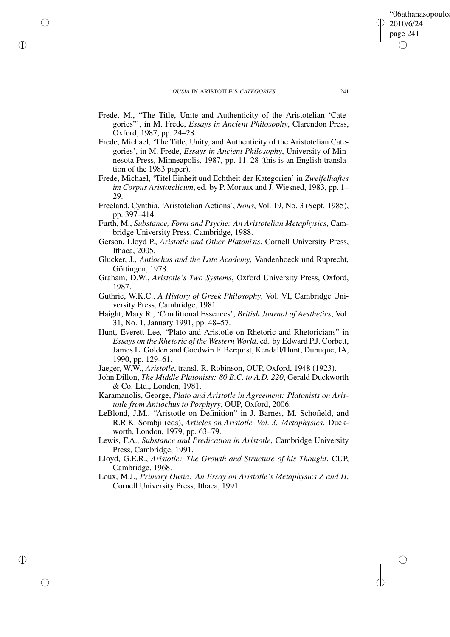✐

✐

✐

✐

- Frede, M., "The Title, Unite and Authenticity of the Aristotelian 'Categories"', in M. Frede, *Essays in Ancient Philosophy*, Clarendon Press, Oxford, 1987, pp. 24–28.
- Frede, Michael, 'The Title, Unity, and Authenticity of the Aristotelian Categories', in M. Frede, *Essays in Ancient Philosophy*, University of Minnesota Press, Minneapolis, 1987, pp. 11–28 (this is an English translation of the 1983 paper).
- Frede, Michael, 'Titel Einheit und Echtheit der Kategorien' in *Zweifelhaftes im Corpus Aristotelicum*, ed. by P. Moraux and J. Wiesned, 1983, pp. 1– 29.
- Freeland, Cynthia, 'Aristotelian Actions', *Nous*, Vol. 19, No. 3 (Sept. 1985), pp. 397–414.
- Furth, M., *Substance, Form and Psyche: An Aristotelian Metaphysics*, Cambridge University Press, Cambridge, 1988.
- Gerson, Lloyd P., *Aristotle and Other Platonists*, Cornell University Press, Ithaca, 2005.
- Glucker, J., *Antiochus and the Late Academy*, Vandenhoeck und Ruprecht, Göttingen, 1978.
- Graham, D.W., *Aristotle's Two Systems*, Oxford University Press, Oxford, 1987.
- Guthrie, W.K.C., *A History of Greek Philosophy*, Vol. VI, Cambridge University Press, Cambridge, 1981.
- Haight, Mary R., 'Conditional Essences', *British Journal of Aesthetics*, Vol. 31, No. 1, January 1991, pp. 48–57.
- Hunt, Everett Lee, "Plato and Aristotle on Rhetoric and Rhetoricians" in *Essays on the Rhetoric of the Western World*, ed. by Edward P.J. Corbett, James L. Golden and Goodwin F. Berquist, Kendall/Hunt, Dubuque, IA, 1990, pp. 129–61.
- Jaeger, W.W., *Aristotle*, transl. R. Robinson, OUP, Oxford, 1948 (1923).
- John Dillon, *The Middle Platonists: 80 B.C. to A.D. 220*, Gerald Duckworth & Co. Ltd., London, 1981.
- Karamanolis, George, *Plato and Aristotle in Agreement: Platonists on Aristotle from Antiochus to Porphyry*, OUP, Oxford, 2006.
- LeBlond, J.M., "Aristotle on Definition" in J. Barnes, M. Schofield, and R.R.K. Sorabji (eds), *Articles on Aristotle, Vol. 3. Metaphysics*. Duckworth, London, 1979, pp. 63–79.
- Lewis, F.A., *Substance and Predication in Aristotle*, Cambridge University Press, Cambridge, 1991.
- Lloyd, G.E.R., *Aristotle: The Growth and Structure of his Thought*, CUP, Cambridge, 1968.
- Loux, M.J., *Primary Ousia: An Essay on Aristotle's Metaphysics Z and H*, Cornell University Press, Ithaca, 1991.

"06athanasopoulo

2010/6/24 page 241

✐

✐

✐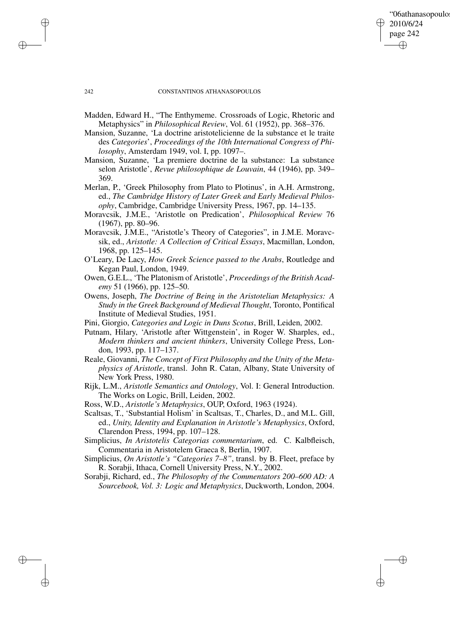✐

✐

#### 242 CONSTANTINOS ATHANASOPOULOS

- Madden, Edward H., "The Enthymeme. Crossroads of Logic, Rhetoric and Metaphysics" in *Philosophical Review*, Vol. 61 (1952), pp. 368–376.
- Mansion, Suzanne, 'La doctrine aristotelicienne de la substance et le traite des *Categories*', *Proceedings of the 10th International Congress of Philosophy*, Amsterdam 1949, vol. I, pp. 1097–.
- Mansion, Suzanne, 'La premiere doctrine de la substance: La substance selon Aristotle', *Revue philosophique de Louvain*, 44 (1946), pp. 349– 369.
- Merlan, P., 'Greek Philosophy from Plato to Plotinus', in A.H. Armstrong, ed., *The Cambridge History of Later Greek and Early Medieval Philosophy*, Cambridge, Cambridge University Press, 1967, pp. 14–135.
- Moravcsik, J.M.E., 'Aristotle on Predication', *Philosophical Review* 76 (1967), pp. 80–96.
- Moravcsik, J.M.E., "Aristotle's Theory of Categories", in J.M.E. Moravcsik, ed., *Aristotle: A Collection of Critical Essays*, Macmillan, London, 1968, pp. 125–145.
- O'Leary, De Lacy, *How Greek Science passed to the Arabs*, Routledge and Kegan Paul, London, 1949.
- Owen, G.E.L., 'The Platonism of Aristotle', *Proceedings of the British Academy* 51 (1966), pp. 125–50.
- Owens, Joseph, *The Doctrine of Being in the Aristotelian Metaphysics: A Study in the Greek Background of Medieval Thought*, Toronto, Pontifical Institute of Medieval Studies, 1951.
- Pini, Giorgio, *Categories and Logic in Duns Scotus*, Brill, Leiden, 2002.
- Putnam, Hilary, 'Aristotle after Wittgenstein', in Roger W. Sharples, ed., *Modern thinkers and ancient thinkers*, University College Press, London, 1993, pp. 117–137.
- Reale, Giovanni, *The Concept of First Philosophy and the Unity of the Metaphysics of Aristotle*, transl. John R. Catan, Albany, State University of New York Press, 1980.
- Rijk, L.M., *Aristotle Semantics and Ontology*, Vol. I: General Introduction. The Works on Logic, Brill, Leiden, 2002.
- Ross, W.D., *Aristotle's Metaphysics*, OUP, Oxford, 1963 (1924).
- Scaltsas, T., 'Substantial Holism' in Scaltsas, T., Charles, D., and M.L. Gill, ed., *Unity, Identity and Explanation in Aristotle's Metaphysics*, Oxford, Clarendon Press, 1994, pp. 107–128.
- Simplicius, *In Aristotelis Categorias commentarium*, ed. C. Kalbfleisch, Commentaria in Aristotelem Graeca 8, Berlin, 1907.
- Simplicius, *On Aristotle's "Categories 7–8"*, transl. by B. Fleet, preface by R. Sorabji, Ithaca, Cornell University Press, N.Y., 2002.
- Sorabji, Richard, ed., *The Philosophy of the Commentators 200–600 AD: A Sourcebook, Vol. 3: Logic and Metaphysics*, Duckworth, London, 2004.

✐

✐

✐